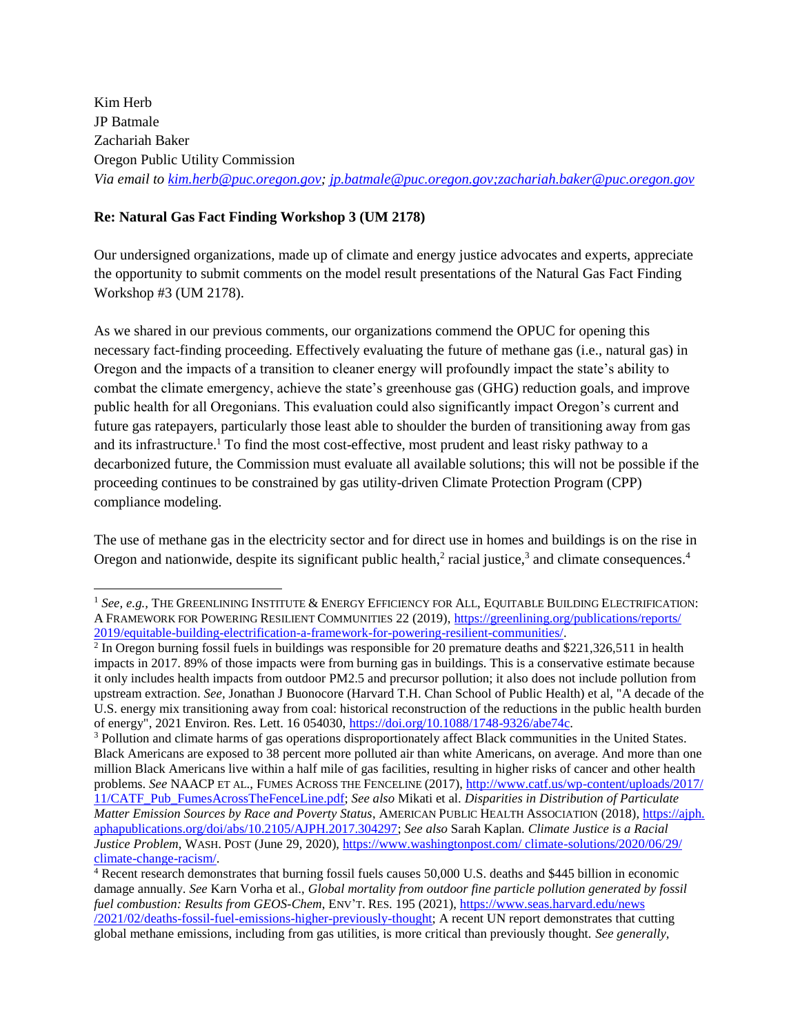Kim Herb JP Batmale Zachariah Baker Oregon Public Utility Commission *Via email to [kim.herb@puc.oregon.gov;](mailto:kim.herb@puc.oregon.gov) [jp.batmale@puc.oregon.gov;zachariah.baker@puc.oregon.gov](mailto:jp.batmale@puc.oregon.gov;zachariah.baker@puc.oregon.gov)*

#### **Re: Natural Gas Fact Finding Workshop 3 (UM 2178)**

 $\overline{a}$ 

Our undersigned organizations, made up of climate and energy justice advocates and experts, appreciate the opportunity to submit comments on the model result presentations of the Natural Gas Fact Finding Workshop #3 (UM 2178).

As we shared in our previous comments, our organizations commend the OPUC for opening this necessary fact-finding proceeding. Effectively evaluating the future of methane gas (i.e., natural gas) in Oregon and the impacts of a transition to cleaner energy will profoundly impact the state's ability to combat the climate emergency, achieve the state's greenhouse gas (GHG) reduction goals, and improve public health for all Oregonians. This evaluation could also significantly impact Oregon's current and future gas ratepayers, particularly those least able to shoulder the burden of transitioning away from gas and its infrastructure.<sup>1</sup> To find the most cost-effective, most prudent and least risky pathway to a decarbonized future, the Commission must evaluate all available solutions; this will not be possible if the proceeding continues to be constrained by gas utility-driven Climate Protection Program (CPP) compliance modeling.

The use of methane gas in the electricity sector and for direct use in homes and buildings is on the rise in Oregon and nationwide, despite its significant public health, $2$  racial justice, $3$  and climate consequences. $4$ 

<sup>&</sup>lt;sup>1</sup> See, e.g., THE GREENLINING INSTITUTE & ENERGY EFFICIENCY FOR ALL, EQUITABLE BUILDING ELECTRIFICATION: A FRAMEWORK FOR POWERING RESILIENT COMMUNITIES 22 (2019)[, https://greenlining.org/publications/reports/](https://greenlining.org/publications/reports/%202019/equitable-building-electrification-a-framework-for-powering-resilient-communities/)  [2019/equitable-building-electrification-a-framework-for-powering-resilient-communities/.](https://greenlining.org/publications/reports/%202019/equitable-building-electrification-a-framework-for-powering-resilient-communities/) 

<sup>&</sup>lt;sup>2</sup> In Oregon burning fossil fuels in buildings was responsible for 20 premature deaths and \$221,326,511 in health impacts in 2017. 89% of those impacts were from burning gas in buildings. This is a conservative estimate because it only includes health impacts from outdoor PM2.5 and precursor pollution; it also does not include pollution from upstream extraction. *See,* Jonathan J Buonocore (Harvard T.H. Chan School of Public Health) et al, "A decade of the U.S. energy mix transitioning away from coal: historical reconstruction of the reductions in the public health burden of energy", 2021 Environ. Res. Lett. 16 054030, [https://doi.org/10.1088/1748-9326/abe74c.](https://doi.org/10.1088/1748-9326/abe74c) 

<sup>&</sup>lt;sup>3</sup> Pollution and climate harms of gas operations disproportionately affect Black communities in the United States. Black Americans are exposed to 38 percent more polluted air than white Americans, on average. And more than one million Black Americans live within a half mile of gas facilities, resulting in higher risks of cancer and other health problems. *See* NAACP ET AL., FUMES ACROSS THE FENCELINE (2017)[, http://www.catf.us/wp-content/uploads/2017/](http://www.catf.us/wp-content/uploads/2017/%2011/CATF_Pub_FumesAcrossTheFenceLine.pdf)  [11/CATF\\_Pub\\_FumesAcrossTheFenceLine.pdf;](http://www.catf.us/wp-content/uploads/2017/%2011/CATF_Pub_FumesAcrossTheFenceLine.pdf) *See also* Mikati et al. *Disparities in Distribution of Particulate Matter Emission Sources by Race and Poverty Status*, AMERICAN PUBLIC HEALTH ASSOCIATION (2018), https://ajph. aphapublications.org/doi/abs/10.2105/AJPH.2017.304297; *See also* Sarah Kaplan. *Climate Justice is a Racial Justice Problem*, WASH. POST (June 29, 2020), [https://www.washingtonpost.com/ climate-solutions/2020/06/29/](https://www.washingtonpost.com/%20climate-solutions/2020/06/29/%20climate-change-racism/)  [climate-change-racism/.](https://www.washingtonpost.com/%20climate-solutions/2020/06/29/%20climate-change-racism/)

<sup>4</sup> Recent research demonstrates that burning fossil fuels causes 50,000 U.S. deaths and \$445 billion in economic damage annually. *See* Karn Vorha et al., *Global mortality from outdoor fine particle pollution generated by fossil fuel combustion: Results from GEOS-Chem*, ENV'T. RES. 195 (2021), [https://www.seas.harvard.edu/news](https://www.seas.harvard.edu/news%20/2021/02/deaths-fossil-fuel-emissions-higher-previously-thought)  [/2021/02/deaths-fossil-fuel-emissions-higher-previously-thought;](https://www.seas.harvard.edu/news%20/2021/02/deaths-fossil-fuel-emissions-higher-previously-thought) A recent UN report demonstrates that cutting global methane emissions, including from gas utilities, is more critical than previously thought. *See generally,*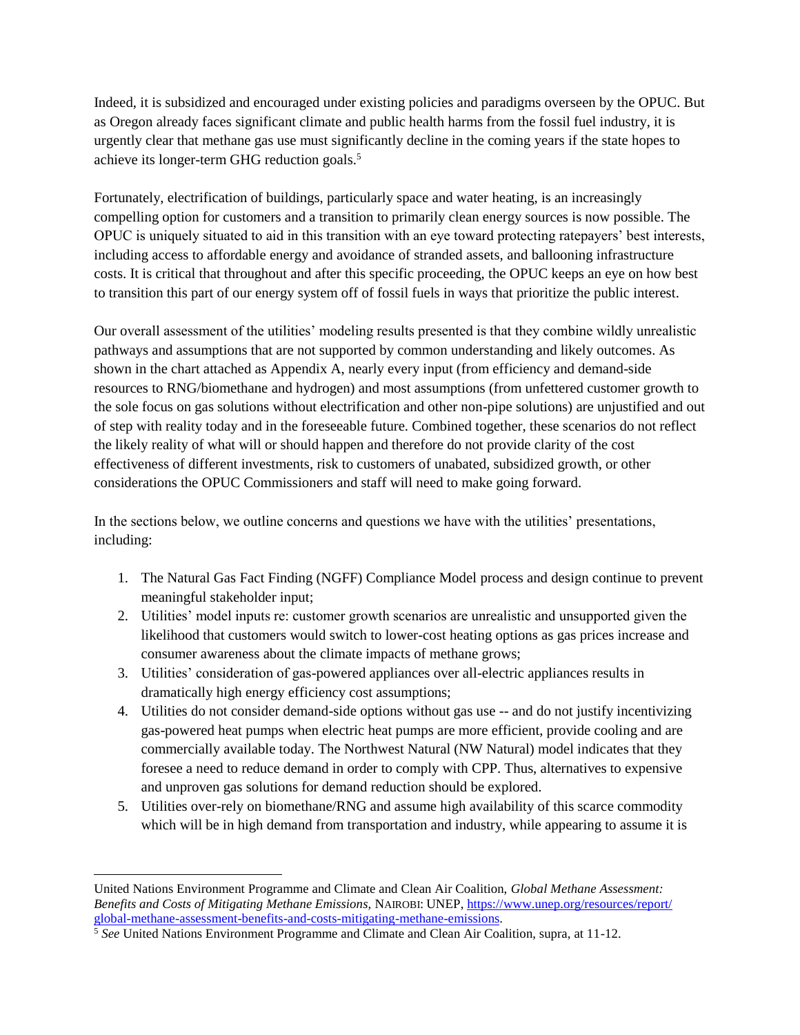Indeed, it is subsidized and encouraged under existing policies and paradigms overseen by the OPUC. But as Oregon already faces significant climate and public health harms from the fossil fuel industry, it is urgently clear that methane gas use must significantly decline in the coming years if the state hopes to achieve its longer-term GHG reduction goals.<sup>5</sup>

Fortunately, electrification of buildings, particularly space and water heating, is an increasingly compelling option for customers and a transition to primarily clean energy sources is now possible. The OPUC is uniquely situated to aid in this transition with an eye toward protecting ratepayers' best interests, including access to affordable energy and avoidance of stranded assets, and ballooning infrastructure costs. It is critical that throughout and after this specific proceeding, the OPUC keeps an eye on how best to transition this part of our energy system off of fossil fuels in ways that prioritize the public interest.

Our overall assessment of the utilities' modeling results presented is that they combine wildly unrealistic pathways and assumptions that are not supported by common understanding and likely outcomes. As shown in the chart attached as Appendix A, nearly every input (from efficiency and demand-side resources to RNG/biomethane and hydrogen) and most assumptions (from unfettered customer growth to the sole focus on gas solutions without electrification and other non-pipe solutions) are unjustified and out of step with reality today and in the foreseeable future. Combined together, these scenarios do not reflect the likely reality of what will or should happen and therefore do not provide clarity of the cost effectiveness of different investments, risk to customers of unabated, subsidized growth, or other considerations the OPUC Commissioners and staff will need to make going forward.

In the sections below, we outline concerns and questions we have with the utilities' presentations, including:

- 1. The Natural Gas Fact Finding (NGFF) Compliance Model process and design continue to prevent meaningful stakeholder input;
- 2. Utilities' model inputs re: customer growth scenarios are unrealistic and unsupported given the likelihood that customers would switch to lower-cost heating options as gas prices increase and consumer awareness about the climate impacts of methane grows;
- 3. Utilities' consideration of gas-powered appliances over all-electric appliances results in dramatically high energy efficiency cost assumptions;
- 4. Utilities do not consider demand-side options without gas use -- and do not justify incentivizing gas-powered heat pumps when electric heat pumps are more efficient, provide cooling and are commercially available today. The Northwest Natural (NW Natural) model indicates that they foresee a need to reduce demand in order to comply with CPP. Thus, alternatives to expensive and unproven gas solutions for demand reduction should be explored.
- 5. Utilities over-rely on biomethane/RNG and assume high availability of this scarce commodity which will be in high demand from transportation and industry, while appearing to assume it is

United Nations Environment Programme and Climate and Clean Air Coalition, *Global Methane Assessment: Benefits and Costs of Mitigating Methane Emissions,* NAIROBI: UNEP, [https://www.unep.org/resources/report/](https://www.unep.org/resources/report/%20global-methane-assessment-benefits-and-costs-mitigating-methane-emissions)  [global-methane-assessment-benefits-and-costs-mitigating-methane-emissions.](https://www.unep.org/resources/report/%20global-methane-assessment-benefits-and-costs-mitigating-methane-emissions)

<sup>&</sup>lt;sup>5</sup> See United Nations Environment Programme and Climate and Clean Air Coalition, supra, at 11-12.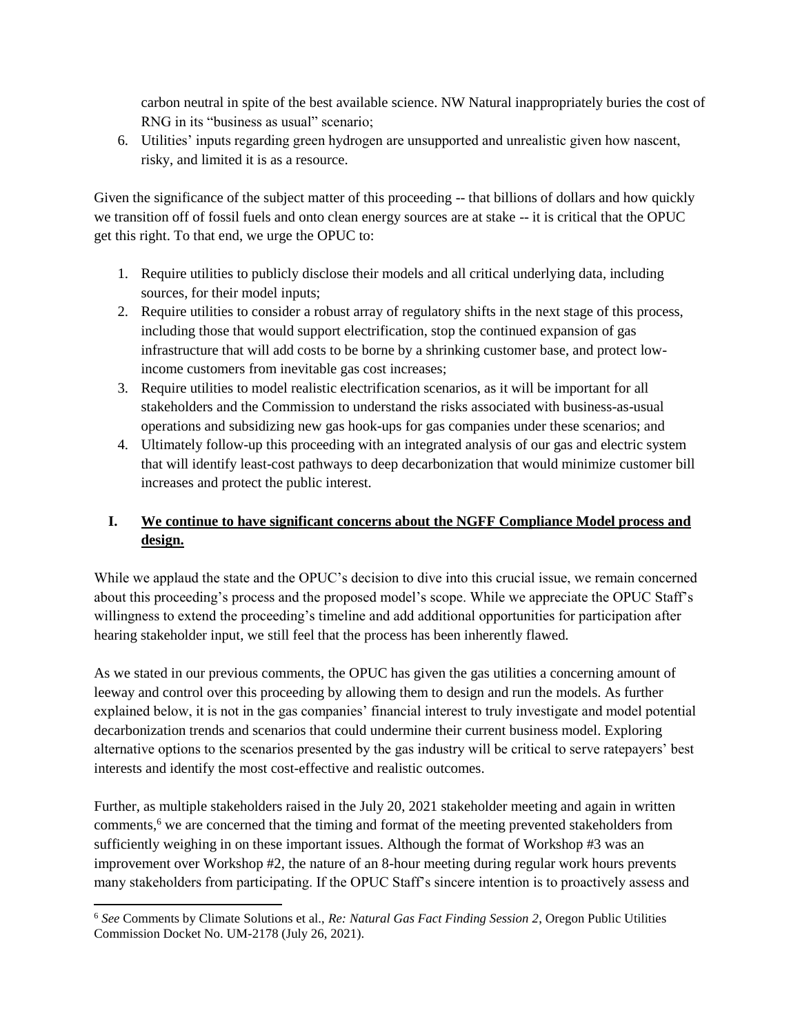carbon neutral in spite of the best available science. NW Natural inappropriately buries the cost of RNG in its "business as usual" scenario;

6. Utilities' inputs regarding green hydrogen are unsupported and unrealistic given how nascent, risky, and limited it is as a resource.

Given the significance of the subject matter of this proceeding -- that billions of dollars and how quickly we transition off of fossil fuels and onto clean energy sources are at stake -- it is critical that the OPUC get this right. To that end, we urge the OPUC to:

- 1. Require utilities to publicly disclose their models and all critical underlying data, including sources, for their model inputs;
- 2. Require utilities to consider a robust array of regulatory shifts in the next stage of this process, including those that would support electrification, stop the continued expansion of gas infrastructure that will add costs to be borne by a shrinking customer base, and protect lowincome customers from inevitable gas cost increases;
- 3. Require utilities to model realistic electrification scenarios, as it will be important for all stakeholders and the Commission to understand the risks associated with business-as-usual operations and subsidizing new gas hook-ups for gas companies under these scenarios; and
- 4. Ultimately follow-up this proceeding with an integrated analysis of our gas and electric system that will identify least-cost pathways to deep decarbonization that would minimize customer bill increases and protect the public interest.

# **I. We continue to have significant concerns about the NGFF Compliance Model process and design.**

While we applaud the state and the OPUC's decision to dive into this crucial issue, we remain concerned about this proceeding's process and the proposed model's scope. While we appreciate the OPUC Staff's willingness to extend the proceeding's timeline and add additional opportunities for participation after hearing stakeholder input, we still feel that the process has been inherently flawed.

As we stated in our previous comments, the OPUC has given the gas utilities a concerning amount of leeway and control over this proceeding by allowing them to design and run the models. As further explained below, it is not in the gas companies' financial interest to truly investigate and model potential decarbonization trends and scenarios that could undermine their current business model. Exploring alternative options to the scenarios presented by the gas industry will be critical to serve ratepayers' best interests and identify the most cost-effective and realistic outcomes.

Further, as multiple stakeholders raised in the July 20, 2021 stakeholder meeting and again in written comments,<sup>6</sup> we are concerned that the timing and format of the meeting prevented stakeholders from sufficiently weighing in on these important issues. Although the format of Workshop #3 was an improvement over Workshop #2, the nature of an 8-hour meeting during regular work hours prevents many stakeholders from participating. If the OPUC Staff's sincere intention is to proactively assess and

 $\overline{a}$ 

<sup>6</sup> *See* Comments by Climate Solutions et al., *Re: Natural Gas Fact Finding Session 2*, Oregon Public Utilities Commission Docket No. UM-2178 (July 26, 2021).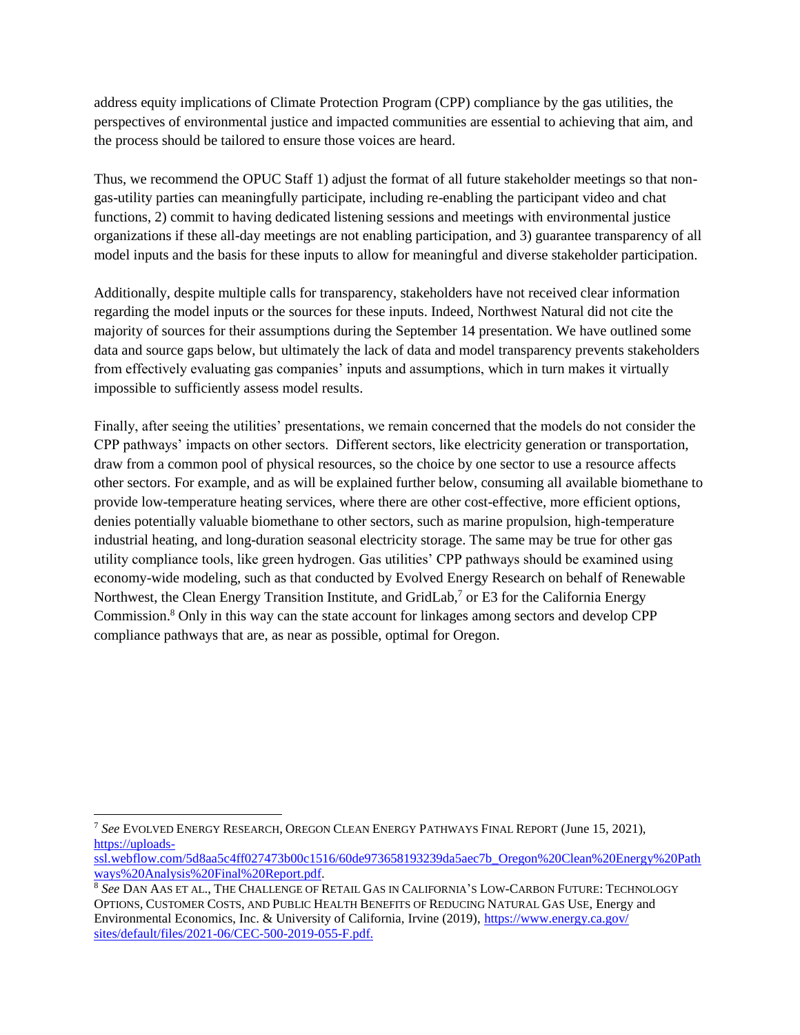address equity implications of Climate Protection Program (CPP) compliance by the gas utilities, the perspectives of environmental justice and impacted communities are essential to achieving that aim, and the process should be tailored to ensure those voices are heard.

Thus, we recommend the OPUC Staff 1) adjust the format of all future stakeholder meetings so that nongas-utility parties can meaningfully participate, including re-enabling the participant video and chat functions, 2) commit to having dedicated listening sessions and meetings with environmental justice organizations if these all-day meetings are not enabling participation, and 3) guarantee transparency of all model inputs and the basis for these inputs to allow for meaningful and diverse stakeholder participation.

Additionally, despite multiple calls for transparency, stakeholders have not received clear information regarding the model inputs or the sources for these inputs. Indeed, Northwest Natural did not cite the majority of sources for their assumptions during the September 14 presentation. We have outlined some data and source gaps below, but ultimately the lack of data and model transparency prevents stakeholders from effectively evaluating gas companies' inputs and assumptions, which in turn makes it virtually impossible to sufficiently assess model results.

Finally, after seeing the utilities' presentations, we remain concerned that the models do not consider the CPP pathways' impacts on other sectors. Different sectors, like electricity generation or transportation, draw from a common pool of physical resources, so the choice by one sector to use a resource affects other sectors. For example, and as will be explained further below, consuming all available biomethane to provide low-temperature heating services, where there are other cost-effective, more efficient options, denies potentially valuable biomethane to other sectors, such as marine propulsion, high-temperature industrial heating, and long-duration seasonal electricity storage. The same may be true for other gas utility compliance tools, like green hydrogen. Gas utilities' CPP pathways should be examined using economy-wide modeling, such as that conducted by Evolved Energy Research on behalf of Renewable Northwest, the Clean Energy Transition Institute, and GridLab,<sup>7</sup> or E3 for the California Energy Commission.<sup>8</sup> Only in this way can the state account for linkages among sectors and develop CPP compliance pathways that are, as near as possible, optimal for Oregon.

 $\overline{a}$ <sup>7</sup> *See* EVOLVED ENERGY RESEARCH, OREGON CLEAN ENERGY PATHWAYS FINAL REPORT (June 15, 2021), [https://uploads-](https://uploads-ssl.webflow.com/5d8aa5c4ff027473b00c1516/60de973658193239da5aec7b_Oregon%20Clean%20Energy%20Pathways%20Analysis%20Final%20Report.pdf)

[ssl.webflow.com/5d8aa5c4ff027473b00c1516/60de973658193239da5aec7b\\_Oregon%20Clean%20Energy%20Path](https://uploads-ssl.webflow.com/5d8aa5c4ff027473b00c1516/60de973658193239da5aec7b_Oregon%20Clean%20Energy%20Pathways%20Analysis%20Final%20Report.pdf) [ways%20Analysis%20Final%20Report.pdf.](https://uploads-ssl.webflow.com/5d8aa5c4ff027473b00c1516/60de973658193239da5aec7b_Oregon%20Clean%20Energy%20Pathways%20Analysis%20Final%20Report.pdf)

<sup>8</sup> *See* DAN AAS ET AL., THE CHALLENGE OF RETAIL GAS IN CALIFORNIA'S LOW-CARBON FUTURE: TECHNOLOGY OPTIONS, CUSTOMER COSTS, AND PUBLIC HEALTH BENEFITS OF REDUCING NATURAL GAS USE, Energy and Environmental Economics, Inc. & University of California, Irvine (2019), [https://www.energy.ca.gov/](https://www.energy.ca.gov/%20sites/default/files/2021-06/CEC-500-2019-055-F.pdf)  [sites/default/files/2021-06/CEC-500-2019-055-F.pdf.](https://www.energy.ca.gov/%20sites/default/files/2021-06/CEC-500-2019-055-F.pdf)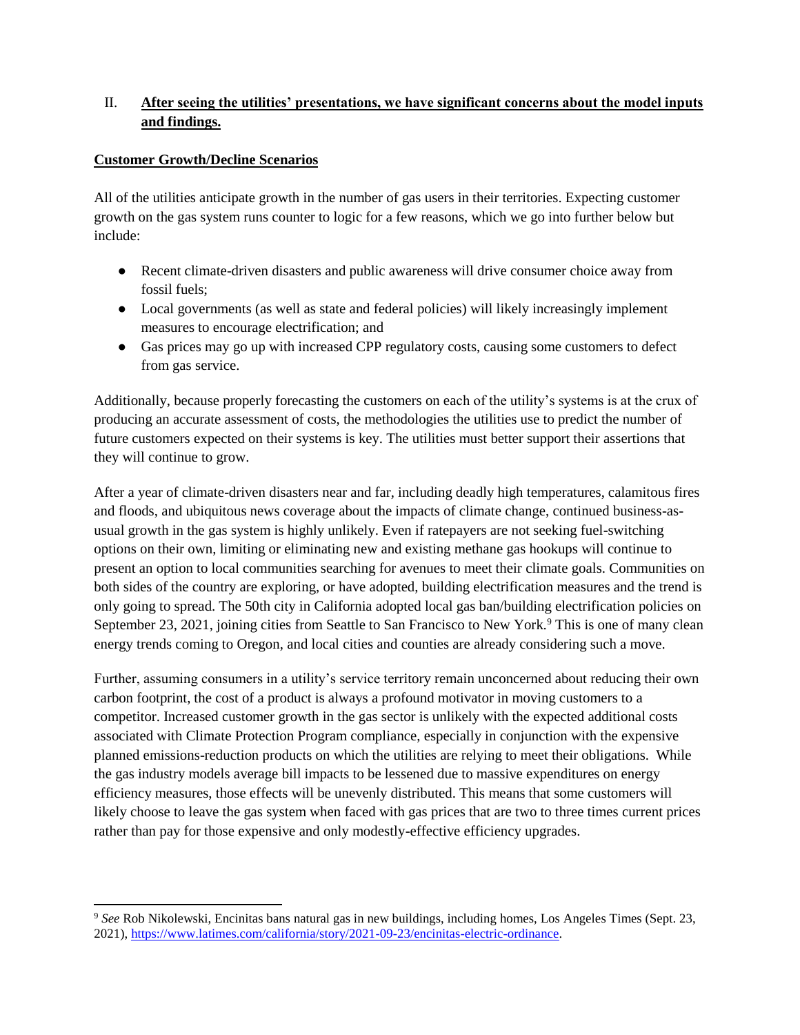# II. **After seeing the utilities' presentations, we have significant concerns about the model inputs and findings.**

#### **Customer Growth/Decline Scenarios**

 $\overline{a}$ 

All of the utilities anticipate growth in the number of gas users in their territories. Expecting customer growth on the gas system runs counter to logic for a few reasons, which we go into further below but include:

- Recent climate-driven disasters and public awareness will drive consumer choice away from fossil fuels;
- Local governments (as well as state and federal policies) will likely increasingly implement measures to encourage electrification; and
- Gas prices may go up with increased CPP regulatory costs, causing some customers to defect from gas service.

Additionally, because properly forecasting the customers on each of the utility's systems is at the crux of producing an accurate assessment of costs, the methodologies the utilities use to predict the number of future customers expected on their systems is key. The utilities must better support their assertions that they will continue to grow.

After a year of climate-driven disasters near and far, including deadly high temperatures, calamitous fires and floods, and ubiquitous news coverage about the impacts of climate change, continued business-asusual growth in the gas system is highly unlikely. Even if ratepayers are not seeking fuel-switching options on their own, limiting or eliminating new and existing methane gas hookups will continue to present an option to local communities searching for avenues to meet their climate goals. Communities on both sides of the country are exploring, or have adopted, building electrification measures and the trend is only going to spread. The 50th city in California adopted local gas ban/building electrification policies on September 23, 2021, joining cities from Seattle to San Francisco to New York.<sup>9</sup> This is one of many clean energy trends coming to Oregon, and local cities and counties are already considering such a move.

Further, assuming consumers in a utility's service territory remain unconcerned about reducing their own carbon footprint, the cost of a product is always a profound motivator in moving customers to a competitor. Increased customer growth in the gas sector is unlikely with the expected additional costs associated with Climate Protection Program compliance, especially in conjunction with the expensive planned emissions-reduction products on which the utilities are relying to meet their obligations. While the gas industry models average bill impacts to be lessened due to massive expenditures on energy efficiency measures, those effects will be unevenly distributed. This means that some customers will likely choose to leave the gas system when faced with gas prices that are two to three times current prices rather than pay for those expensive and only modestly-effective efficiency upgrades.

<sup>9</sup> *See* Rob Nikolewski, Encinitas bans natural gas in new buildings, including homes, Los Angeles Times (Sept. 23, 2021), [https://www.latimes.com/california/story/2021-09-23/encinitas-electric-ordinance.](https://www.latimes.com/california/story/2021-09-23/encinitas-electric-ordinance)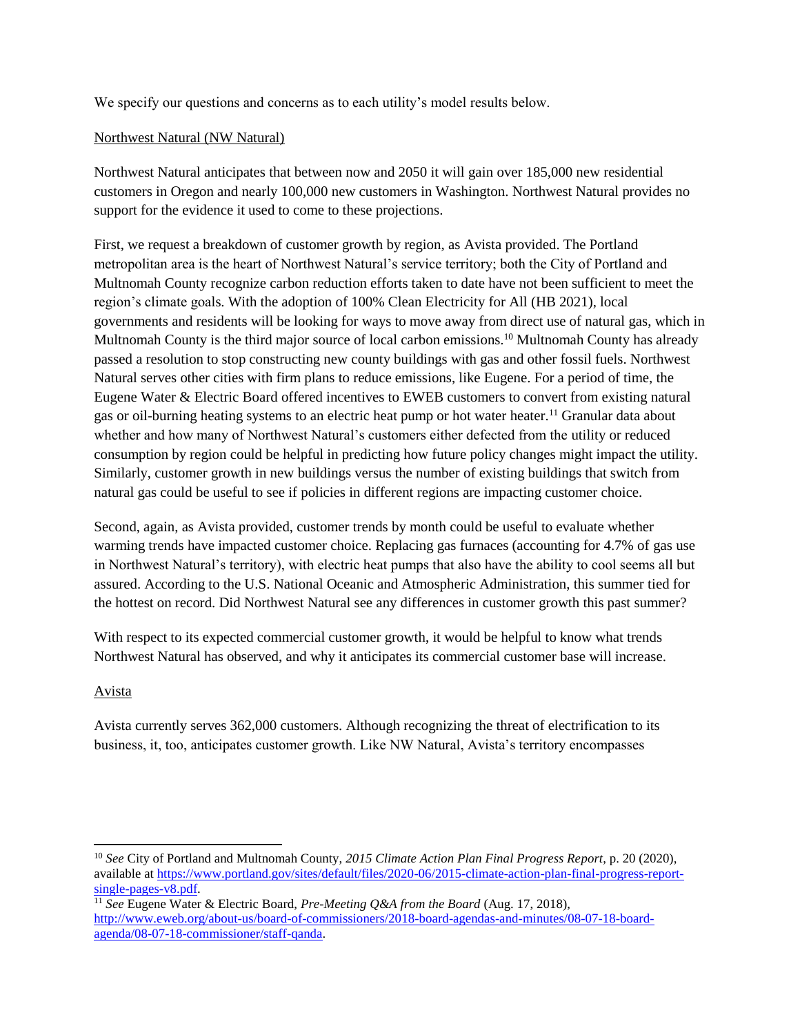We specify our questions and concerns as to each utility's model results below.

#### Northwest Natural (NW Natural)

Northwest Natural anticipates that between now and 2050 it will gain over 185,000 new residential customers in Oregon and nearly 100,000 new customers in Washington. Northwest Natural provides no support for the evidence it used to come to these projections.

First, we request a breakdown of customer growth by region, as Avista provided. The Portland metropolitan area is the heart of Northwest Natural's service territory; both the City of Portland and Multnomah County recognize carbon reduction efforts taken to date have not been sufficient to meet the region's climate goals. With the adoption of 100% Clean Electricity for All (HB 2021), local governments and residents will be looking for ways to move away from direct use of natural gas, which in Multnomah County is the third major source of local carbon emissions.<sup>10</sup> Multnomah County has already passed a resolution to stop constructing new county buildings with gas and other fossil fuels. Northwest Natural serves other cities with firm plans to reduce emissions, like Eugene. For a period of time, the Eugene Water & Electric Board offered incentives to EWEB customers to convert from existing natural gas or oil-burning heating systems to an electric heat pump or hot water heater.<sup>11</sup> Granular data about whether and how many of Northwest Natural's customers either defected from the utility or reduced consumption by region could be helpful in predicting how future policy changes might impact the utility. Similarly, customer growth in new buildings versus the number of existing buildings that switch from natural gas could be useful to see if policies in different regions are impacting customer choice.

Second, again, as Avista provided, customer trends by month could be useful to evaluate whether warming trends have impacted customer choice. Replacing gas furnaces (accounting for 4.7% of gas use in Northwest Natural's territory), with electric heat pumps that also have the ability to cool seems all but assured. According to the U.S. National Oceanic and Atmospheric Administration, this summer tied for the hottest on record. Did Northwest Natural see any differences in customer growth this past summer?

With respect to its expected commercial customer growth, it would be helpful to know what trends Northwest Natural has observed, and why it anticipates its commercial customer base will increase.

## Avista

Avista currently serves 362,000 customers. Although recognizing the threat of electrification to its business, it, too, anticipates customer growth. Like NW Natural, Avista's territory encompasses

<sup>10</sup> *See* City of Portland and Multnomah County, *2015 Climate Action Plan Final Progress Report*, p. 20 (2020), available at [https://www.portland.gov/sites/default/files/2020-06/2015-climate-action-plan-final-progress-report](https://www.portland.gov/sites/default/files/2020-06/2015-climate-action-plan-final-progress-report-single-pages-v8.pdf)[single-pages-v8.pdf.](https://www.portland.gov/sites/default/files/2020-06/2015-climate-action-plan-final-progress-report-single-pages-v8.pdf)

<sup>11</sup> *See* Eugene Water & Electric Board, *Pre-Meeting Q&A from the Board* (Aug. 17, 2018), [http://www.eweb.org/about-us/board-of-commissioners/2018-board-agendas-and-minutes/08-07-18-board](http://www.eweb.org/about-us/board-of-commissioners/2018-board-agendas-and-minutes/08-07-18-board-agenda/08-07-18-commissioner/staff-qanda)[agenda/08-07-18-commissioner/staff-qanda.](http://www.eweb.org/about-us/board-of-commissioners/2018-board-agendas-and-minutes/08-07-18-board-agenda/08-07-18-commissioner/staff-qanda)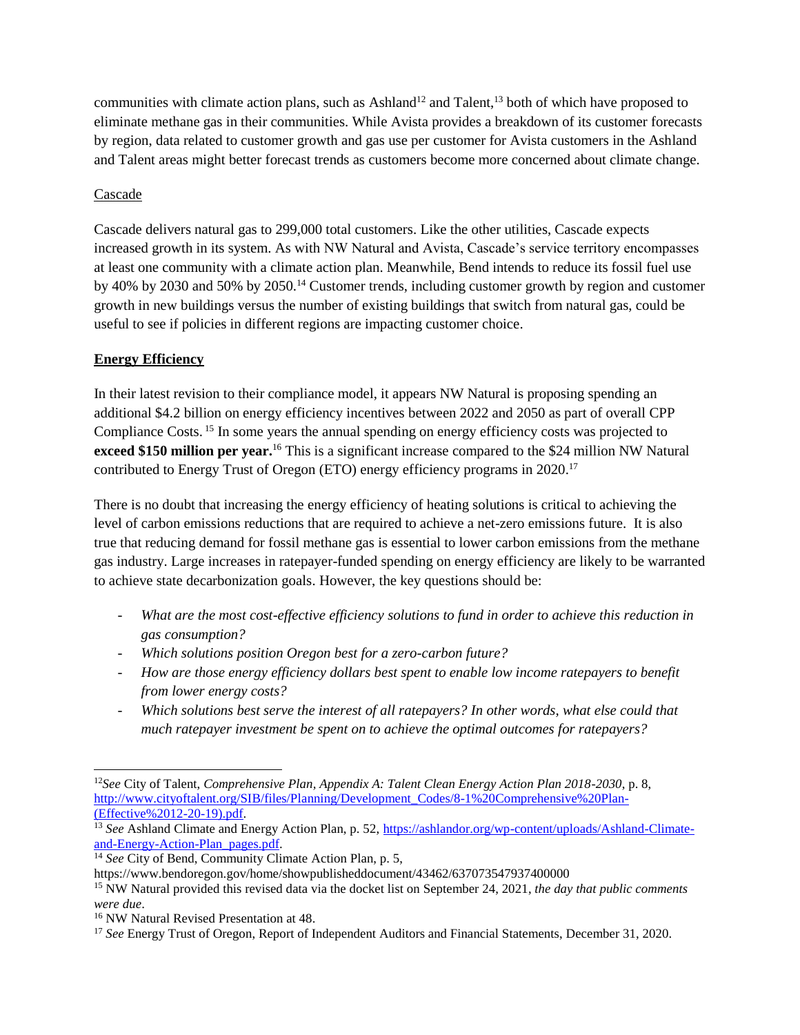communities with climate action plans, such as Ashland<sup>12</sup> and Talent,<sup>13</sup> both of which have proposed to eliminate methane gas in their communities. While Avista provides a breakdown of its customer forecasts by region, data related to customer growth and gas use per customer for Avista customers in the Ashland and Talent areas might better forecast trends as customers become more concerned about climate change.

## Cascade

Cascade delivers natural gas to 299,000 total customers. Like the other utilities, Cascade expects increased growth in its system. As with NW Natural and Avista, Cascade's service territory encompasses at least one community with a climate action plan. Meanwhile, Bend intends to reduce its fossil fuel use by 40% by 2030 and 50% by 2050.<sup>14</sup> Customer trends, including customer growth by region and customer growth in new buildings versus the number of existing buildings that switch from natural gas, could be useful to see if policies in different regions are impacting customer choice.

# **Energy Efficiency**

In their latest revision to their compliance model, it appears NW Natural is proposing spending an additional \$4.2 billion on energy efficiency incentives between 2022 and 2050 as part of overall CPP Compliance Costs. <sup>15</sup> In some years the annual spending on energy efficiency costs was projected to **exceed \$150 million per year.**<sup>16</sup> This is a significant increase compared to the \$24 million NW Natural contributed to Energy Trust of Oregon (ETO) energy efficiency programs in 2020. 17

There is no doubt that increasing the energy efficiency of heating solutions is critical to achieving the level of carbon emissions reductions that are required to achieve a net-zero emissions future. It is also true that reducing demand for fossil methane gas is essential to lower carbon emissions from the methane gas industry. Large increases in ratepayer-funded spending on energy efficiency are likely to be warranted to achieve state decarbonization goals. However, the key questions should be:

- *What are the most cost-effective efficiency solutions to fund in order to achieve this reduction in gas consumption?*
- *Which solutions position Oregon best for a zero-carbon future?*
- *How are those energy efficiency dollars best spent to enable low income ratepayers to benefit from lower energy costs?*
- *Which solutions best serve the interest of all ratepayers? In other words, what else could that much ratepayer investment be spent on to achieve the optimal outcomes for ratepayers?*

<sup>14</sup> See City of Bend, Community Climate Action Plan, p. 5,

<sup>12</sup>*See* City of Talent, *Comprehensive Plan, Appendix A: Talent Clean Energy Action Plan 2018-2030*, p. 8, [http://www.cityoftalent.org/SIB/files/Planning/Development\\_Codes/8-1%20Comprehensive%20Plan-](http://www.cityoftalent.org/SIB/files/Planning/Development_Codes/8-1%20Comprehensive%20Plan-) [\(Effective%2012-20-19\).pdf.](http://www.cityoftalent.org/SIB/files/Planning/Development_Codes/8-1%20Comprehensive%20Plan-)

<sup>&</sup>lt;sup>13</sup> *See* Ashland Climate and Energy Action Plan, p. 52, [https://ashlandor.org/wp-content/uploads/Ashland-Climate](https://ashlandor.org/wp-content/uploads/Ashland-Climate-and-Energy-Action-Plan_pages.pdf)[and-Energy-Action-Plan\\_pages.pdf.](https://ashlandor.org/wp-content/uploads/Ashland-Climate-and-Energy-Action-Plan_pages.pdf)

https://www.bendoregon.gov/home/showpublisheddocument/43462/637073547937400000

<sup>15</sup> NW Natural provided this revised data via the docket list on September 24, 2021, *the day that public comments were due*.

<sup>16</sup> NW Natural Revised Presentation at 48.

<sup>&</sup>lt;sup>17</sup> *See* Energy Trust of Oregon, Report of Independent Auditors and Financial Statements, December 31, 2020.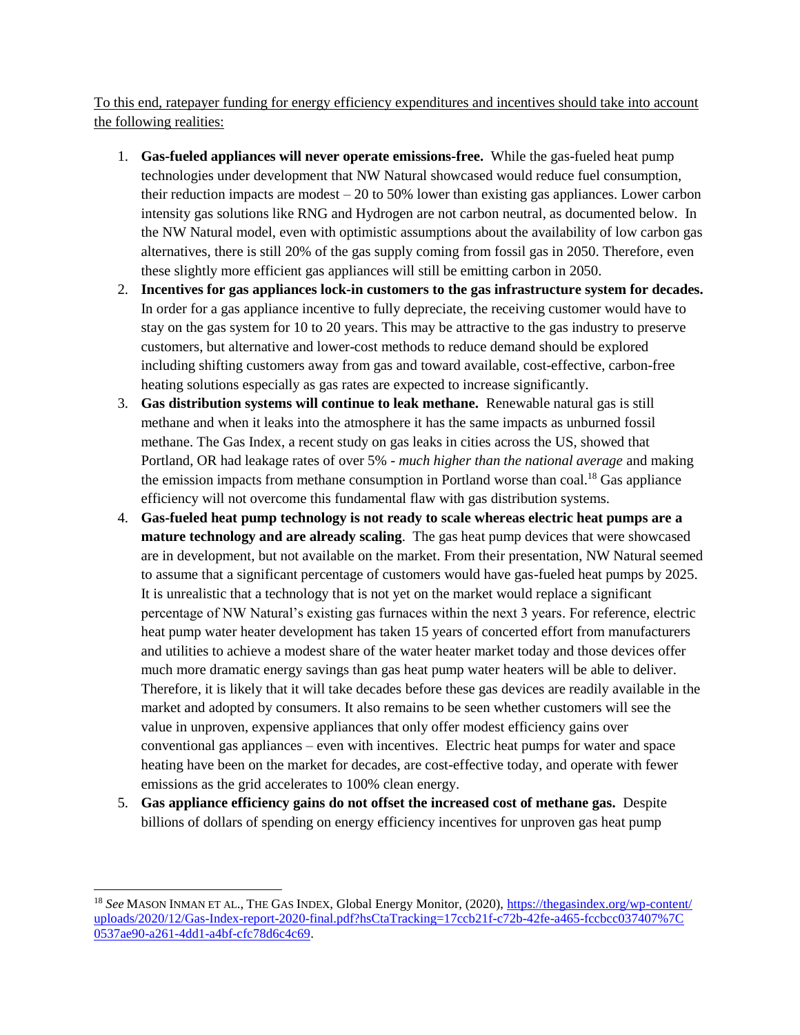To this end, ratepayer funding for energy efficiency expenditures and incentives should take into account the following realities:

- 1. **Gas-fueled appliances will never operate emissions-free.** While the gas-fueled heat pump technologies under development that NW Natural showcased would reduce fuel consumption, their reduction impacts are modest  $-20$  to 50% lower than existing gas appliances. Lower carbon intensity gas solutions like RNG and Hydrogen are not carbon neutral, as documented below. In the NW Natural model, even with optimistic assumptions about the availability of low carbon gas alternatives, there is still 20% of the gas supply coming from fossil gas in 2050. Therefore, even these slightly more efficient gas appliances will still be emitting carbon in 2050.
- 2. **Incentives for gas appliances lock-in customers to the gas infrastructure system for decades.**  In order for a gas appliance incentive to fully depreciate, the receiving customer would have to stay on the gas system for 10 to 20 years. This may be attractive to the gas industry to preserve customers, but alternative and lower-cost methods to reduce demand should be explored including shifting customers away from gas and toward available, cost-effective, carbon-free heating solutions especially as gas rates are expected to increase significantly.
- 3. **Gas distribution systems will continue to leak methane.** Renewable natural gas is still methane and when it leaks into the atmosphere it has the same impacts as unburned fossil methane. The Gas Index, a recent study on gas leaks in cities across the US, showed that Portland, OR had leakage rates of over 5% - *much higher than the national average* and making the emission impacts from methane consumption in Portland worse than  $\text{coal.}^{18}$  Gas appliance efficiency will not overcome this fundamental flaw with gas distribution systems.
- 4. **Gas-fueled heat pump technology is not ready to scale whereas electric heat pumps are a mature technology and are already scaling**. The gas heat pump devices that were showcased are in development, but not available on the market. From their presentation, NW Natural seemed to assume that a significant percentage of customers would have gas-fueled heat pumps by 2025. It is unrealistic that a technology that is not yet on the market would replace a significant percentage of NW Natural's existing gas furnaces within the next 3 years. For reference, electric heat pump water heater development has taken 15 years of concerted effort from manufacturers and utilities to achieve a modest share of the water heater market today and those devices offer much more dramatic energy savings than gas heat pump water heaters will be able to deliver. Therefore, it is likely that it will take decades before these gas devices are readily available in the market and adopted by consumers. It also remains to be seen whether customers will see the value in unproven, expensive appliances that only offer modest efficiency gains over conventional gas appliances – even with incentives. Electric heat pumps for water and space heating have been on the market for decades, are cost-effective today, and operate with fewer emissions as the grid accelerates to 100% clean energy.
- 5. **Gas appliance efficiency gains do not offset the increased cost of methane gas.** Despite billions of dollars of spending on energy efficiency incentives for unproven gas heat pump

<sup>18</sup> *See* MASON INMAN ET AL., THE GAS INDEX, Global Energy Monitor, (2020), [https://thegasindex.org/wp-content/](https://thegasindex.org/wp-content/%20uploads/2020/12/Gas-Index-report-2020-final.pdf?hsCtaTracking=17ccb21f-c72b-42fe-a465-fccbcc037407%7C%200537ae90-a261-4dd1-a4bf-cfc78d6c4c69)  [uploads/2020/12/Gas-Index-report-2020-final.pdf?hsCtaTracking=17ccb21f-c72b-42fe-a465-fccbcc037407%7C](https://thegasindex.org/wp-content/%20uploads/2020/12/Gas-Index-report-2020-final.pdf?hsCtaTracking=17ccb21f-c72b-42fe-a465-fccbcc037407%7C%200537ae90-a261-4dd1-a4bf-cfc78d6c4c69)  [0537ae90-a261-4dd1-a4bf-cfc78d6c4c69.](https://thegasindex.org/wp-content/%20uploads/2020/12/Gas-Index-report-2020-final.pdf?hsCtaTracking=17ccb21f-c72b-42fe-a465-fccbcc037407%7C%200537ae90-a261-4dd1-a4bf-cfc78d6c4c69)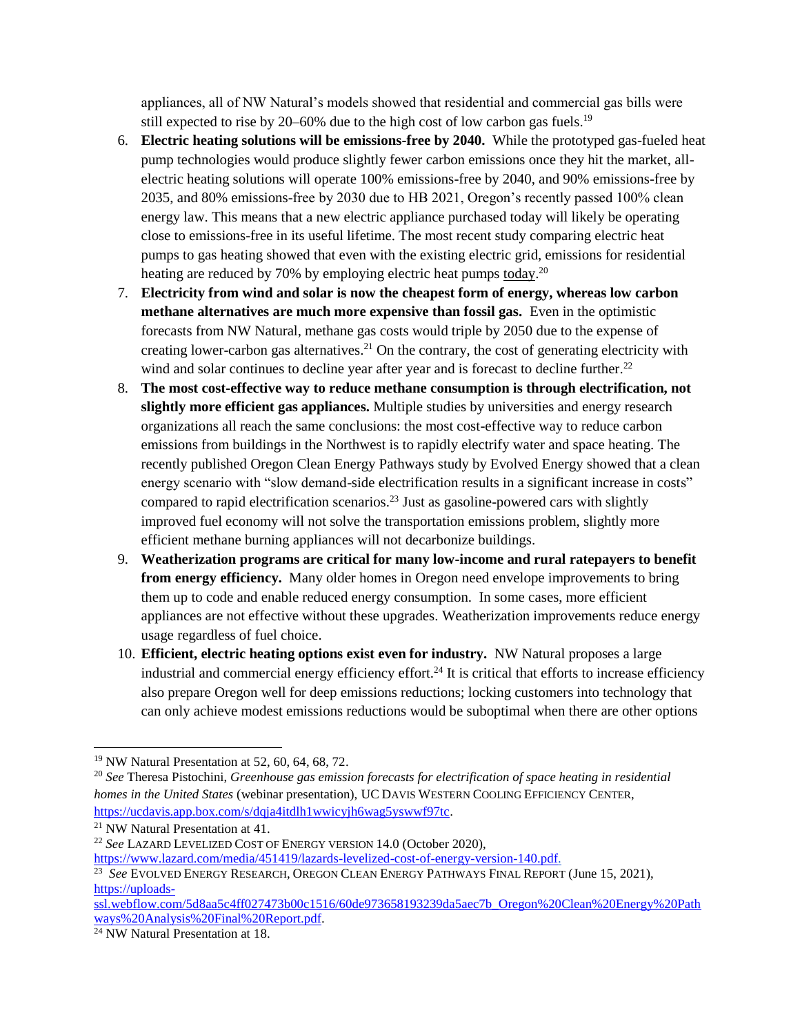appliances, all of NW Natural's models showed that residential and commercial gas bills were still expected to rise by 20–60% due to the high cost of low carbon gas fuels.<sup>19</sup>

- 6. **Electric heating solutions will be emissions-free by 2040.** While the prototyped gas-fueled heat pump technologies would produce slightly fewer carbon emissions once they hit the market, allelectric heating solutions will operate 100% emissions-free by 2040, and 90% emissions-free by 2035, and 80% emissions-free by 2030 due to HB 2021, Oregon's recently passed 100% clean energy law. This means that a new electric appliance purchased today will likely be operating close to emissions-free in its useful lifetime. The most recent study comparing electric heat pumps to gas heating showed that even with the existing electric grid, emissions for residential heating are reduced by 70% by employing electric heat pumps today.<sup>20</sup>
- 7. **Electricity from wind and solar is now the cheapest form of energy, whereas low carbon methane alternatives are much more expensive than fossil gas.** Even in the optimistic forecasts from NW Natural, methane gas costs would triple by 2050 due to the expense of creating lower-carbon gas alternatives.<sup>21</sup> On the contrary, the cost of generating electricity with wind and solar continues to decline year after year and is forecast to decline further.<sup>22</sup>
- 8. **The most cost-effective way to reduce methane consumption is through electrification, not slightly more efficient gas appliances.** Multiple studies by universities and energy research organizations all reach the same conclusions: the most cost-effective way to reduce carbon emissions from buildings in the Northwest is to rapidly electrify water and space heating. The recently published Oregon Clean Energy Pathways study by Evolved Energy showed that a clean energy scenario with "slow demand-side electrification results in a significant increase in costs" compared to rapid electrification scenarios.<sup>23</sup> Just as gasoline-powered cars with slightly improved fuel economy will not solve the transportation emissions problem, slightly more efficient methane burning appliances will not decarbonize buildings.
- 9. **Weatherization programs are critical for many low-income and rural ratepayers to benefit from energy efficiency.** Many older homes in Oregon need envelope improvements to bring them up to code and enable reduced energy consumption. In some cases, more efficient appliances are not effective without these upgrades. Weatherization improvements reduce energy usage regardless of fuel choice.
- 10. **Efficient, electric heating options exist even for industry.** NW Natural proposes a large industrial and commercial energy efficiency effort.<sup>24</sup> It is critical that efforts to increase efficiency also prepare Oregon well for deep emissions reductions; locking customers into technology that can only achieve modest emissions reductions would be suboptimal when there are other options

<sup>19</sup> NW Natural Presentation at 52, 60, 64, 68, 72.

<sup>20</sup> *See* Theresa Pistochini, *Greenhouse gas emission forecasts for electrification of space heating in residential homes in the United States* (webinar presentation), UC DAVIS WESTERN COOLING EFFICIENCY CENTER, [https://ucdavis.app.box.com/s/dqja4itdlh1wwicyjh6wag5yswwf97tc.](https://ucdavis.app.box.com/s/dqja4itdlh1wwicyjh6wag5yswwf97tc) 

<sup>21</sup> NW Natural Presentation at 41.

<sup>22</sup> *See* LAZARD LEVELIZED COST OF ENERGY VERSION 14.0 (October 2020),

[https://www.lazard.com/media/451419/lazards-levelized-cost-of-energy-version-140.pdf.](https://www.lazard.com/media/451419/lazards-levelized-cost-of-energy-version-140.pdf)

<sup>23</sup> *See* EVOLVED ENERGY RESEARCH, OREGON CLEAN ENERGY PATHWAYS FINAL REPORT (June 15, 2021), [https://uploads-](https://uploads-ssl.webflow.com/5d8aa5c4ff027473b00c1516/60de973658193239da5aec7b_Oregon%20Clean%20Energy%20Pathways%20Analysis%20Final%20Report.pdf)

[ssl.webflow.com/5d8aa5c4ff027473b00c1516/60de973658193239da5aec7b\\_Oregon%20Clean%20Energy%20Path](https://uploads-ssl.webflow.com/5d8aa5c4ff027473b00c1516/60de973658193239da5aec7b_Oregon%20Clean%20Energy%20Pathways%20Analysis%20Final%20Report.pdf) [ways%20Analysis%20Final%20Report.pdf.](https://uploads-ssl.webflow.com/5d8aa5c4ff027473b00c1516/60de973658193239da5aec7b_Oregon%20Clean%20Energy%20Pathways%20Analysis%20Final%20Report.pdf)

<sup>24</sup> NW Natural Presentation at 18.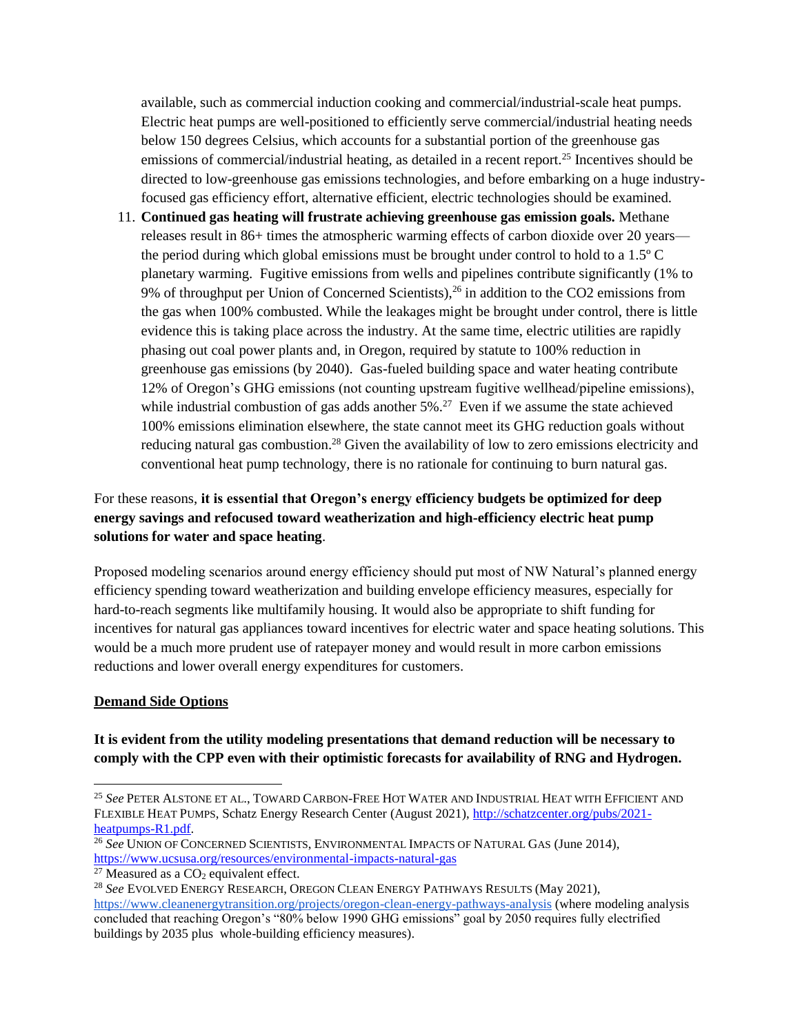available, such as commercial induction cooking and commercial/industrial-scale heat pumps. Electric heat pumps are well-positioned to efficiently serve commercial/industrial heating needs below 150 degrees Celsius, which accounts for a substantial portion of the greenhouse gas emissions of commercial/industrial heating, as detailed in a recent report.<sup>25</sup> Incentives should be directed to low-greenhouse gas emissions technologies, and before embarking on a huge industryfocused gas efficiency effort, alternative efficient, electric technologies should be examined.

11. **Continued gas heating will frustrate achieving greenhouse gas emission goals.** Methane releases result in 86+ times the atmospheric warming effects of carbon dioxide over 20 years the period during which global emissions must be brought under control to hold to a 1.5º C planetary warming. Fugitive emissions from wells and pipelines contribute significantly (1% to 9% of throughput per Union of Concerned Scientists),  $26$  in addition to the CO2 emissions from the gas when 100% combusted. While the leakages might be brought under control, there is little evidence this is taking place across the industry. At the same time, electric utilities are rapidly phasing out coal power plants and, in Oregon, required by statute to 100% reduction in greenhouse gas emissions (by 2040). Gas-fueled building space and water heating contribute 12% of Oregon's GHG emissions (not counting upstream fugitive wellhead/pipeline emissions), while industrial combustion of gas adds another  $5\%$ .<sup>27</sup> Even if we assume the state achieved 100% emissions elimination elsewhere, the state cannot meet its GHG reduction goals without reducing natural gas combustion.<sup>28</sup> Given the availability of low to zero emissions electricity and conventional heat pump technology, there is no rationale for continuing to burn natural gas.

# For these reasons, **it is essential that Oregon's energy efficiency budgets be optimized for deep energy savings and refocused toward weatherization and high-efficiency electric heat pump solutions for water and space heating**.

Proposed modeling scenarios around energy efficiency should put most of NW Natural's planned energy efficiency spending toward weatherization and building envelope efficiency measures, especially for hard-to-reach segments like multifamily housing. It would also be appropriate to shift funding for incentives for natural gas appliances toward incentives for electric water and space heating solutions. This would be a much more prudent use of ratepayer money and would result in more carbon emissions reductions and lower overall energy expenditures for customers.

## **Demand Side Options**

## **It is evident from the utility modeling presentations that demand reduction will be necessary to comply with the CPP even with their optimistic forecasts for availability of RNG and Hydrogen.**

<sup>27</sup> Measured as a  $CO<sub>2</sub>$  equivalent effect.

<sup>25</sup> *See* PETER ALSTONE ET AL., TOWARD CARBON-FREE HOT WATER AND INDUSTRIAL HEAT WITH EFFICIENT AND FLEXIBLE HEAT PUMPS, Schatz Energy Research Center (August 2021), [http://schatzcenter.org/pubs/2021](http://schatzcenter.org/pubs/2021-heatpumps-R1.pdf) [heatpumps-R1.pdf.](http://schatzcenter.org/pubs/2021-heatpumps-R1.pdf)

<sup>26</sup> *See* UNION OF CONCERNED SCIENTISTS, ENVIRONMENTAL IMPACTS OF NATURAL GAS (June 2014), <https://www.ucsusa.org/resources/environmental-impacts-natural-gas>

<sup>28</sup> *See* EVOLVED ENERGY RESEARCH, OREGON CLEAN ENERGY PATHWAYS RESULTS (May 2021),

<https://www.cleanenergytransition.org/projects/oregon-clean-energy-pathways-analysis> (where modeling analysis concluded that reaching Oregon's "80% below 1990 GHG emissions" goal by 2050 requires fully electrified buildings by 2035 plus whole-building efficiency measures).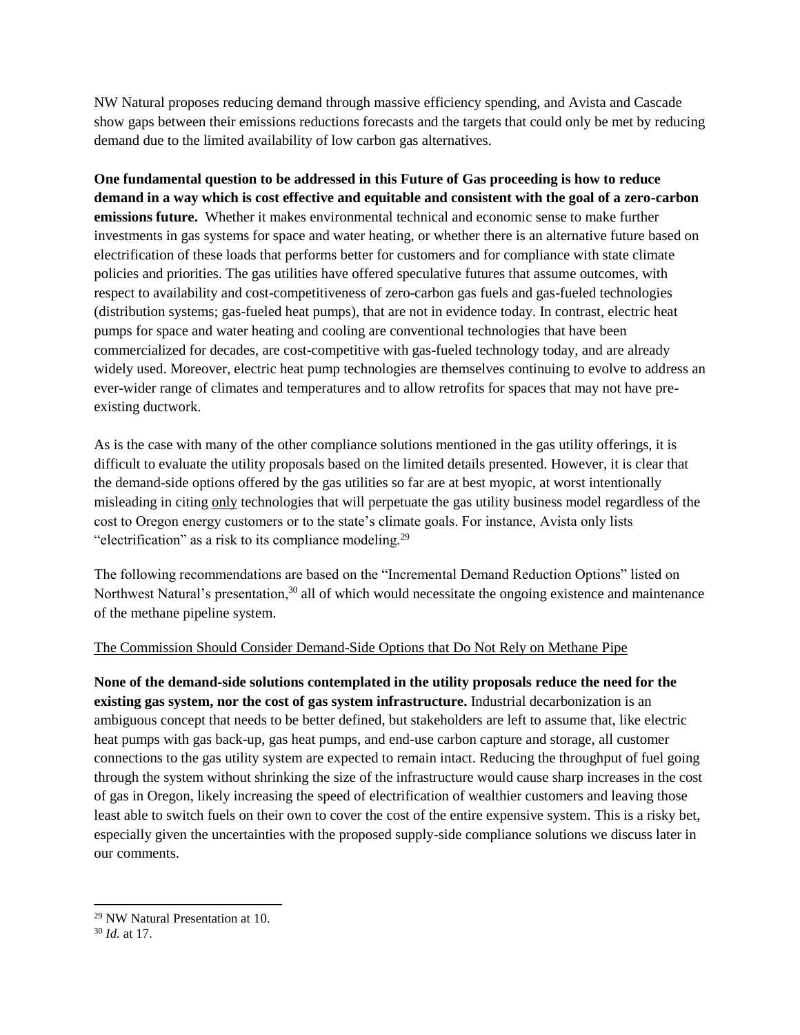NW Natural proposes reducing demand through massive efficiency spending, and Avista and Cascade show gaps between their emissions reductions forecasts and the targets that could only be met by reducing demand due to the limited availability of low carbon gas alternatives.

**One fundamental question to be addressed in this Future of Gas proceeding is how to reduce demand in a way which is cost effective and equitable and consistent with the goal of a zero-carbon emissions future.** Whether it makes environmental technical and economic sense to make further investments in gas systems for space and water heating, or whether there is an alternative future based on electrification of these loads that performs better for customers and for compliance with state climate policies and priorities. The gas utilities have offered speculative futures that assume outcomes, with respect to availability and cost-competitiveness of zero-carbon gas fuels and gas-fueled technologies (distribution systems; gas-fueled heat pumps), that are not in evidence today. In contrast, electric heat pumps for space and water heating and cooling are conventional technologies that have been commercialized for decades, are cost-competitive with gas-fueled technology today, and are already widely used. Moreover, electric heat pump technologies are themselves continuing to evolve to address an ever-wider range of climates and temperatures and to allow retrofits for spaces that may not have preexisting ductwork.

As is the case with many of the other compliance solutions mentioned in the gas utility offerings, it is difficult to evaluate the utility proposals based on the limited details presented. However, it is clear that the demand-side options offered by the gas utilities so far are at best myopic, at worst intentionally misleading in citing only technologies that will perpetuate the gas utility business model regardless of the cost to Oregon energy customers or to the state's climate goals. For instance, Avista only lists "electrification" as a risk to its compliance modeling.<sup>29</sup>

The following recommendations are based on the "Incremental Demand Reduction Options" listed on Northwest Natural's presentation,<sup>30</sup> all of which would necessitate the ongoing existence and maintenance of the methane pipeline system.

#### The Commission Should Consider Demand-Side Options that Do Not Rely on Methane Pipe

**None of the demand-side solutions contemplated in the utility proposals reduce the need for the existing gas system, nor the cost of gas system infrastructure.** Industrial decarbonization is an ambiguous concept that needs to be better defined, but stakeholders are left to assume that, like electric heat pumps with gas back-up, gas heat pumps, and end-use carbon capture and storage, all customer connections to the gas utility system are expected to remain intact. Reducing the throughput of fuel going through the system without shrinking the size of the infrastructure would cause sharp increases in the cost of gas in Oregon, likely increasing the speed of electrification of wealthier customers and leaving those least able to switch fuels on their own to cover the cost of the entire expensive system. This is a risky bet, especially given the uncertainties with the proposed supply-side compliance solutions we discuss later in our comments.

 $\overline{a}$ 

<sup>29</sup> NW Natural Presentation at 10.

<sup>30</sup> *Id.* at 17.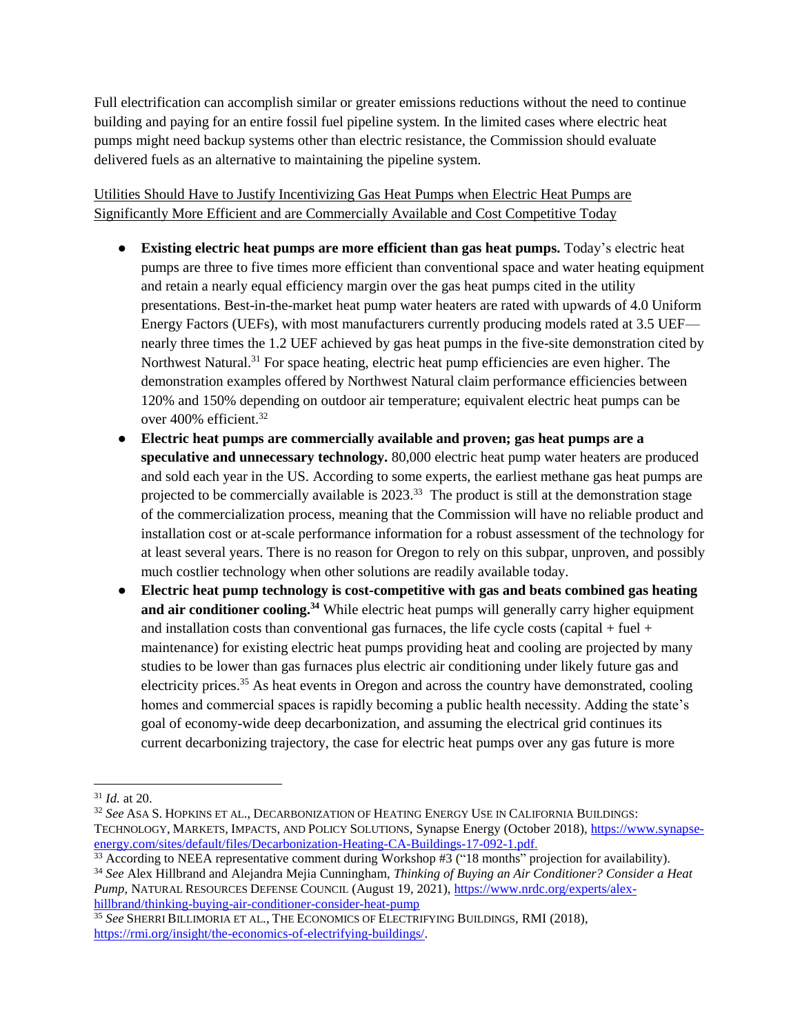Full electrification can accomplish similar or greater emissions reductions without the need to continue building and paying for an entire fossil fuel pipeline system. In the limited cases where electric heat pumps might need backup systems other than electric resistance, the Commission should evaluate delivered fuels as an alternative to maintaining the pipeline system.

# Utilities Should Have to Justify Incentivizing Gas Heat Pumps when Electric Heat Pumps are Significantly More Efficient and are Commercially Available and Cost Competitive Today

- **Existing electric heat pumps are more efficient than gas heat pumps.** Today's electric heat pumps are three to five times more efficient than conventional space and water heating equipment and retain a nearly equal efficiency margin over the gas heat pumps cited in the utility presentations. Best-in-the-market heat pump water heaters are rated with upwards of 4.0 Uniform Energy Factors (UEFs), with most manufacturers currently producing models rated at 3.5 UEF nearly three times the 1.2 UEF achieved by gas heat pumps in the five-site demonstration cited by Northwest Natural.<sup>31</sup> For space heating, electric heat pump efficiencies are even higher. The demonstration examples offered by Northwest Natural claim performance efficiencies between 120% and 150% depending on outdoor air temperature; equivalent electric heat pumps can be over 400% efficient.<sup>32</sup>
- **Electric heat pumps are commercially available and proven; gas heat pumps are a speculative and unnecessary technology.** 80,000 electric heat pump water heaters are produced and sold each year in the US. According to some experts, the earliest methane gas heat pumps are projected to be commercially available is  $2023$ <sup>33</sup> The product is still at the demonstration stage of the commercialization process, meaning that the Commission will have no reliable product and installation cost or at-scale performance information for a robust assessment of the technology for at least several years. There is no reason for Oregon to rely on this subpar, unproven, and possibly much costlier technology when other solutions are readily available today.
- **Electric heat pump technology is cost-competitive with gas and beats combined gas heating and air conditioner cooling.<sup>34</sup>** While electric heat pumps will generally carry higher equipment and installation costs than conventional gas furnaces, the life cycle costs (capital  $+$  fuel  $+$ maintenance) for existing electric heat pumps providing heat and cooling are projected by many studies to be lower than gas furnaces plus electric air conditioning under likely future gas and electricity prices.<sup>35</sup> As heat events in Oregon and across the country have demonstrated, cooling homes and commercial spaces is rapidly becoming a public health necessity. Adding the state's goal of economy-wide deep decarbonization, and assuming the electrical grid continues its current decarbonizing trajectory, the case for electric heat pumps over any gas future is more

[hillbrand/thinking-buying-air-conditioner-consider-heat-pump](https://www.nrdc.org/experts/alex-hillbrand/thinking-buying-air-conditioner-consider-heat-pump)

 <sup>31</sup> *Id.* at 20.

<sup>32</sup> *See* ASA S. HOPKINS ET AL., DECARBONIZATION OF HEATING ENERGY USE IN CALIFORNIA BUILDINGS: TECHNOLOGY, MARKETS, IMPACTS, AND POLICY SOLUTIONS, Synapse Energy (October 2018), [https://www.synapse](https://www.synapse-energy.com/sites/default/files/Decarbonization-Heating-CA-Buildings-17-092-1.pdf)[energy.com/sites/default/files/Decarbonization-Heating-CA-Buildings-17-092-1.pdf.](https://www.synapse-energy.com/sites/default/files/Decarbonization-Heating-CA-Buildings-17-092-1.pdf)

<sup>&</sup>lt;sup>33</sup> According to NEEA representative comment during Workshop #3 ("18 months" projection for availability).

<sup>34</sup> *See* Alex Hillbrand and Alejandra Mejia Cunningham, *Thinking of Buying an Air Conditioner? Consider a Heat Pump,* NATURAL RESOURCES DEFENSE COUNCIL (August 19, 2021)[, https://www.nrdc.org/experts/alex-](https://www.nrdc.org/experts/alex-hillbrand/thinking-buying-air-conditioner-consider-heat-pump)

<sup>35</sup> See SHERRI BILLIMORIA ET AL., THE ECONOMICS OF ELECTRIFYING BUILDINGS, RMI (2018), [https://rmi.org/insight/the-economics-of-electrifying-buildings/.](https://rmi.org/insight/the-economics-of-electrifying-buildings/)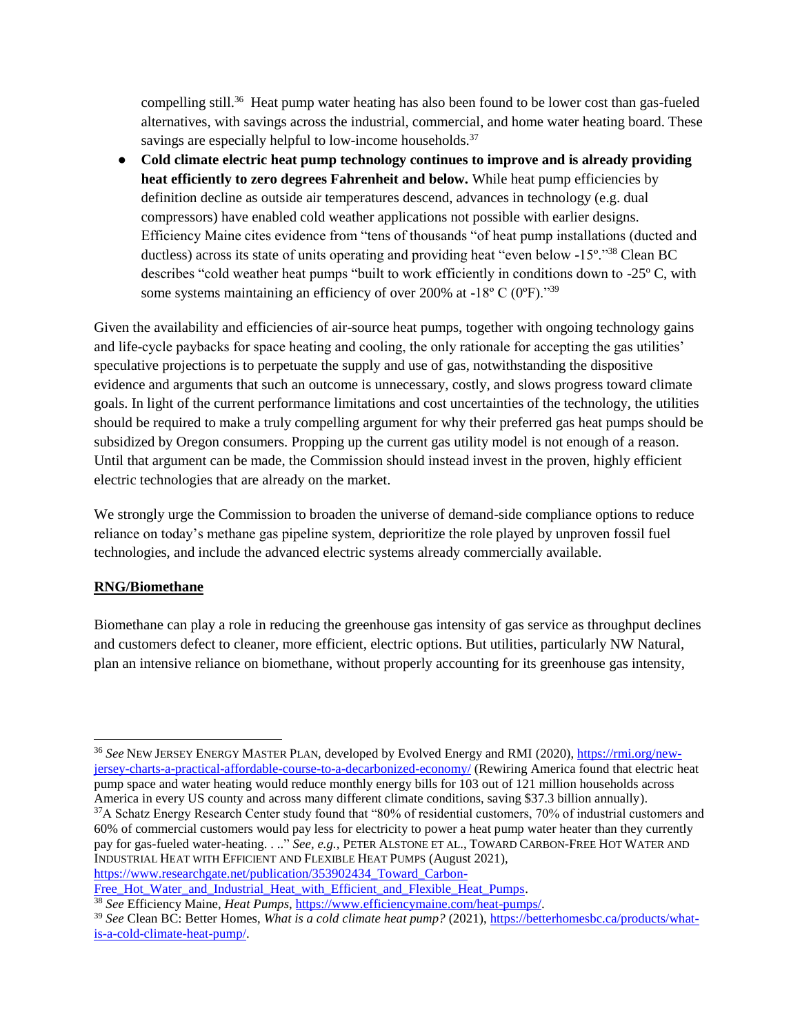compelling still.<sup>36</sup> Heat pump water heating has also been found to be lower cost than gas-fueled alternatives, with savings across the industrial, commercial, and home water heating board. These savings are especially helpful to low-income households.<sup>37</sup>

● **Cold climate electric heat pump technology continues to improve and is already providing heat efficiently to zero degrees Fahrenheit and below.** While heat pump efficiencies by definition decline as outside air temperatures descend, advances in technology (e.g. dual compressors) have enabled cold weather applications not possible with earlier designs. Efficiency Maine cites evidence from "tens of thousands "of heat pump installations (ducted and ductless) across its state of units operating and providing heat "even below -15º."<sup>38</sup> Clean BC describes "cold weather heat pumps "built to work efficiently in conditions down to -25º C, with some systems maintaining an efficiency of over 200% at  $-18^{\circ}$  C (0 $^{\circ}$ F).<sup>139</sup>

Given the availability and efficiencies of air-source heat pumps, together with ongoing technology gains and life-cycle paybacks for space heating and cooling, the only rationale for accepting the gas utilities' speculative projections is to perpetuate the supply and use of gas, notwithstanding the dispositive evidence and arguments that such an outcome is unnecessary, costly, and slows progress toward climate goals. In light of the current performance limitations and cost uncertainties of the technology, the utilities should be required to make a truly compelling argument for why their preferred gas heat pumps should be subsidized by Oregon consumers. Propping up the current gas utility model is not enough of a reason. Until that argument can be made, the Commission should instead invest in the proven, highly efficient electric technologies that are already on the market.

We strongly urge the Commission to broaden the universe of demand-side compliance options to reduce reliance on today's methane gas pipeline system, deprioritize the role played by unproven fossil fuel technologies, and include the advanced electric systems already commercially available.

## **RNG/Biomethane**

Biomethane can play a role in reducing the greenhouse gas intensity of gas service as throughput declines and customers defect to cleaner, more efficient, electric options. But utilities, particularly NW Natural, plan an intensive reliance on biomethane, without properly accounting for its greenhouse gas intensity,

Free Hot Water and Industrial Heat with Efficient and Flexible Heat Pumps.

<sup>36</sup> *See* NEW JERSEY ENERGY MASTER PLAN, developed by Evolved Energy and RMI (2020), [https://rmi.org/new](https://rmi.org/new-jersey-charts-a-practical-affordable-course-to-a-decarbonized-economy/)[jersey-charts-a-practical-affordable-course-to-a-decarbonized-economy/](https://rmi.org/new-jersey-charts-a-practical-affordable-course-to-a-decarbonized-economy/) (Rewiring America found that electric heat pump space and water heating would reduce monthly energy bills for 103 out of 121 million households across America in every US county and across many different climate conditions, saving \$37.3 billion annually). <sup>37</sup>A Schatz Energy Research Center study found that "80% of residential customers, 70% of industrial customers and 60% of commercial customers would pay less for electricity to power a heat pump water heater than they currently pay for gas-fueled water-heating. . .." *See, e.g.,* PETER ALSTONE ET AL., TOWARD CARBON-FREE HOT WATER AND INDUSTRIAL HEAT WITH EFFICIENT AND FLEXIBLE HEAT PUMPS (August 2021), [https://www.researchgate.net/publication/353902434\\_Toward\\_Carbon-](https://www.researchgate.net/publication/353902434_Toward_Carbon-Free_Hot_Water_and_Industrial_Heat_with_Efficient_and_Flexible_Heat_Pumps)

<sup>38</sup> *See* Efficiency Maine, *Heat Pumps,* [https://www.efficiencymaine.com/heat-pumps/.](https://www.efficiencymaine.com/heat-pumps/)

<sup>39</sup> *See* Clean BC: Better Homes, *What is a cold climate heat pump?* (2021), [https://betterhomesbc.ca/products/what](https://betterhomesbc.ca/products/what-is-a-cold-climate-heat-pump/)[is-a-cold-climate-heat-pump/.](https://betterhomesbc.ca/products/what-is-a-cold-climate-heat-pump/)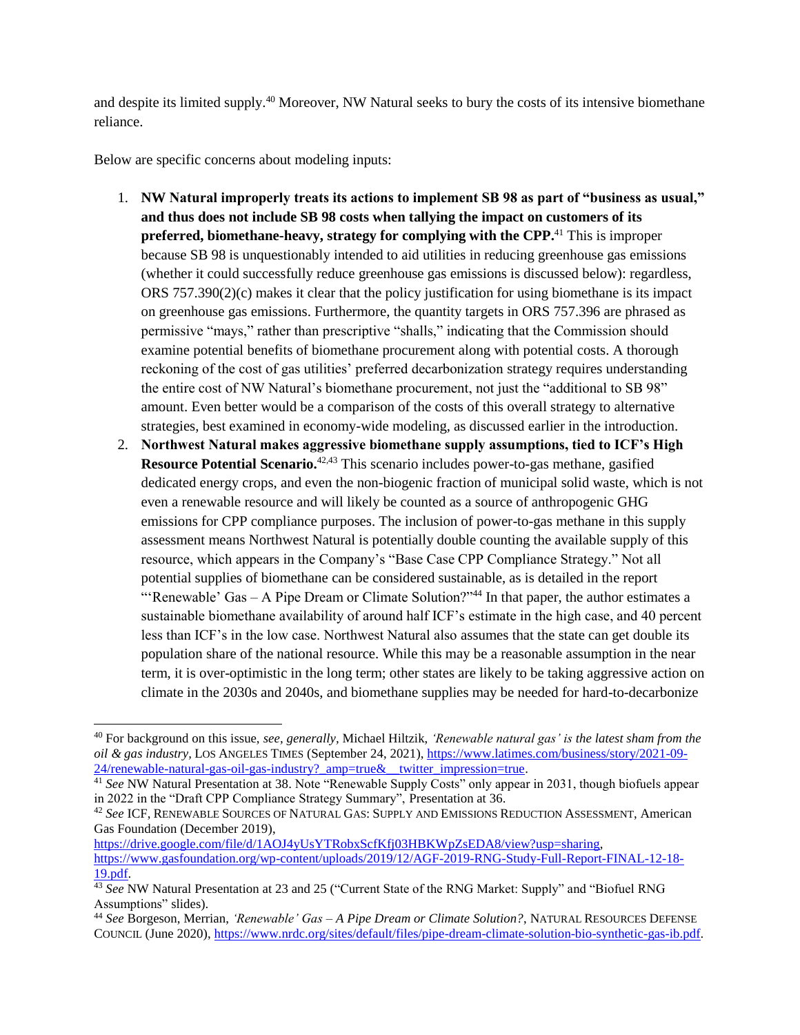and despite its limited supply.<sup>40</sup> Moreover, NW Natural seeks to bury the costs of its intensive biomethane reliance.

Below are specific concerns about modeling inputs:

 $\overline{a}$ 

- 1. **NW Natural improperly treats its actions to implement SB 98 as part of "business as usual," and thus does not include SB 98 costs when tallying the impact on customers of its preferred, biomethane-heavy, strategy for complying with the CPP.**<sup>41</sup> This is improper because SB 98 is unquestionably intended to aid utilities in reducing greenhouse gas emissions (whether it could successfully reduce greenhouse gas emissions is discussed below): regardless, ORS  $757.390(2)(c)$  makes it clear that the policy justification for using biomethane is its impact on greenhouse gas emissions. Furthermore, the quantity targets in ORS 757.396 are phrased as permissive "mays," rather than prescriptive "shalls," indicating that the Commission should examine potential benefits of biomethane procurement along with potential costs. A thorough reckoning of the cost of gas utilities' preferred decarbonization strategy requires understanding the entire cost of NW Natural's biomethane procurement, not just the "additional to SB 98" amount. Even better would be a comparison of the costs of this overall strategy to alternative strategies, best examined in economy-wide modeling, as discussed earlier in the introduction.
- 2. **Northwest Natural makes aggressive biomethane supply assumptions, tied to ICF's High Resource Potential Scenario.**42,43 This scenario includes power-to-gas methane, gasified dedicated energy crops, and even the non-biogenic fraction of municipal solid waste, which is not even a renewable resource and will likely be counted as a source of anthropogenic GHG emissions for CPP compliance purposes. The inclusion of power-to-gas methane in this supply assessment means Northwest Natural is potentially double counting the available supply of this resource, which appears in the Company's "Base Case CPP Compliance Strategy." Not all potential supplies of biomethane can be considered sustainable, as is detailed in the report "'Renewable' Gas – A Pipe Dream or Climate Solution?"<sup>44</sup> In that paper, the author estimates a sustainable biomethane availability of around half ICF's estimate in the high case, and 40 percent less than ICF's in the low case. Northwest Natural also assumes that the state can get double its population share of the national resource. While this may be a reasonable assumption in the near term, it is over-optimistic in the long term; other states are likely to be taking aggressive action on climate in the 2030s and 2040s, and biomethane supplies may be needed for hard-to-decarbonize

<sup>42</sup> *See* ICF, RENEWABLE SOURCES OF NATURAL GAS: SUPPLY AND EMISSIONS REDUCTION ASSESSMENT, American Gas Foundation (December 2019),

[https://drive.google.com/file/d/1AOJ4yUsYTRobxScfKfj03HBKWpZsEDA8/view?usp=sharing,](https://drive.google.com/file/d/1AOJ4yUsYTRobxScfKfj03HBKWpZsEDA8/view?usp=sharing) [https://www.gasfoundation.org/wp-content/uploads/2019/12/AGF-2019-RNG-Study-Full-Report-FINAL-12-18-](https://www.gasfoundation.org/wp-content/uploads/2019/12/AGF-2019-RNG-Study-Full-Report-FINAL-12-18-19.pdf) [19.pdf.](https://www.gasfoundation.org/wp-content/uploads/2019/12/AGF-2019-RNG-Study-Full-Report-FINAL-12-18-19.pdf)

<sup>40</sup> For background on this issue, *see, generally,* Michael Hiltzik, *'Renewable natural gas' is the latest sham from the oil & gas industry,* LOS ANGELES TIMES (September 24, 2021), [https://www.latimes.com/business/story/2021-09-](https://www.latimes.com/business/story/2021-09-24/renewable-natural-gas-oil-gas-industry?_amp=true&__twitter_impression=true) [24/renewable-natural-gas-oil-gas-industry?\\_amp=true&\\_\\_twitter\\_impression=true.](https://www.latimes.com/business/story/2021-09-24/renewable-natural-gas-oil-gas-industry?_amp=true&__twitter_impression=true)

<sup>41</sup> *See* NW Natural Presentation at 38. Note "Renewable Supply Costs" only appear in 2031, though biofuels appear in 2022 in the "Draft CPP Compliance Strategy Summary", Presentation at 36.

<sup>43</sup> *See* NW Natural Presentation at 23 and 25 ("Current State of the RNG Market: Supply" and "Biofuel RNG Assumptions" slides).

<sup>44</sup> *See* Borgeson, Merrian, *'Renewable' Gas – A Pipe Dream or Climate Solution?*, NATURAL RESOURCES DEFENSE COUNCIL (June 2020), [https://www.nrdc.org/sites/default/files/pipe-dream-climate-solution-bio-synthetic-gas-ib.pdf.](https://www.nrdc.org/sites/default/files/pipe-dream-climate-solution-bio-synthetic-gas-ib.pdf)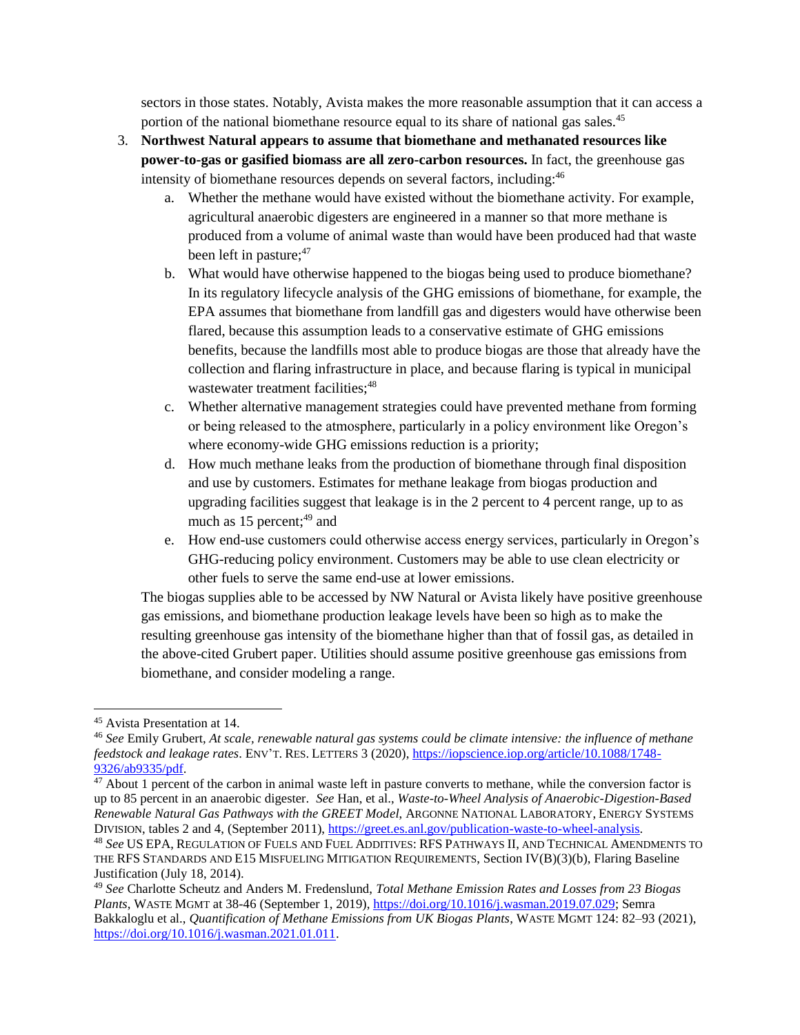sectors in those states. Notably, Avista makes the more reasonable assumption that it can access a portion of the national biomethane resource equal to its share of national gas sales.<sup>45</sup>

- 3. **Northwest Natural appears to assume that biomethane and methanated resources like power-to-gas or gasified biomass are all zero-carbon resources.** In fact, the greenhouse gas intensity of biomethane resources depends on several factors, including:<sup>46</sup>
	- a. Whether the methane would have existed without the biomethane activity. For example, agricultural anaerobic digesters are engineered in a manner so that more methane is produced from a volume of animal waste than would have been produced had that waste been left in pasture; $47$
	- b. What would have otherwise happened to the biogas being used to produce biomethane? In its regulatory lifecycle analysis of the GHG emissions of biomethane, for example, the EPA assumes that biomethane from landfill gas and digesters would have otherwise been flared, because this assumption leads to a conservative estimate of GHG emissions benefits, because the landfills most able to produce biogas are those that already have the collection and flaring infrastructure in place, and because flaring is typical in municipal wastewater treatment facilities;<sup>48</sup>
	- c. Whether alternative management strategies could have prevented methane from forming or being released to the atmosphere, particularly in a policy environment like Oregon's where economy-wide GHG emissions reduction is a priority;
	- d. How much methane leaks from the production of biomethane through final disposition and use by customers. Estimates for methane leakage from biogas production and upgrading facilities suggest that leakage is in the 2 percent to 4 percent range, up to as much as  $15$  percent;<sup>49</sup> and
	- e. How end-use customers could otherwise access energy services, particularly in Oregon's GHG-reducing policy environment. Customers may be able to use clean electricity or other fuels to serve the same end-use at lower emissions.

The biogas supplies able to be accessed by NW Natural or Avista likely have positive greenhouse gas emissions, and biomethane production leakage levels have been so high as to make the resulting greenhouse gas intensity of the biomethane higher than that of fossil gas, as detailed in the above-cited Grubert paper. Utilities should assume positive greenhouse gas emissions from biomethane, and consider modeling a range.

<sup>45</sup> Avista Presentation at 14.

<sup>46</sup> *See* Emily Grubert, *At scale, renewable natural gas systems could be climate intensive: the influence of methane feedstock and leakage rates*. ENV'T. RES. LETTERS 3 (2020), [https://iopscience.iop.org/article/10.1088/1748-](https://iopscience.iop.org/article/10.1088/1748-9326/ab9335/pdf) [9326/ab9335/pdf.](https://iopscience.iop.org/article/10.1088/1748-9326/ab9335/pdf) 

 $\frac{47}{47}$  About 1 percent of the carbon in animal waste left in pasture converts to methane, while the conversion factor is up to 85 percent in an anaerobic digester. *See* Han, et al., *Waste-to-Wheel Analysis of Anaerobic-Digestion-Based Renewable Natural Gas Pathways with the GREET Model*, ARGONNE NATIONAL LABORATORY, ENERGY SYSTEMS DIVISION, tables 2 and 4, (September 2011), [https://greet.es.anl.gov/publication-waste-to-wheel-analysis.](https://greet.es.anl.gov/publication-waste-to-wheel-analysis)

<sup>48</sup> *See* US EPA, REGULATION OF FUELS AND FUEL ADDITIVES: RFS PATHWAYS II, AND TECHNICAL AMENDMENTS TO THE RFS STANDARDS AND E15 MISFUELING MITIGATION REQUIREMENTS, Section IV(B)(3)(b), Flaring Baseline Justification (July 18, 2014).

<sup>49</sup> *See* Charlotte Scheutz and Anders M. Fredenslund, *[Total Methane Emission Rates and Losses from 23 Biogas](https://www.zotero.org/google-docs/?NOLQ1l)  [Plants](https://www.zotero.org/google-docs/?NOLQ1l)*, WASTE MGMT at 38-46 (September 1, 2019), [https://doi.org/10.1016/j.wasman.2019.07.029;](https://doi.org/10.1016/j.wasman.2019.07.029) Semra Bakkaloglu et al., *Quantification of Methane Emissions from UK Biogas Plants*, WASTE MGMT 124: 82–93 (2021), [https://doi.org/10.1016/j.wasman.2021.01.011.](https://doi.org/10.1016/j.wasman.2021.01.011)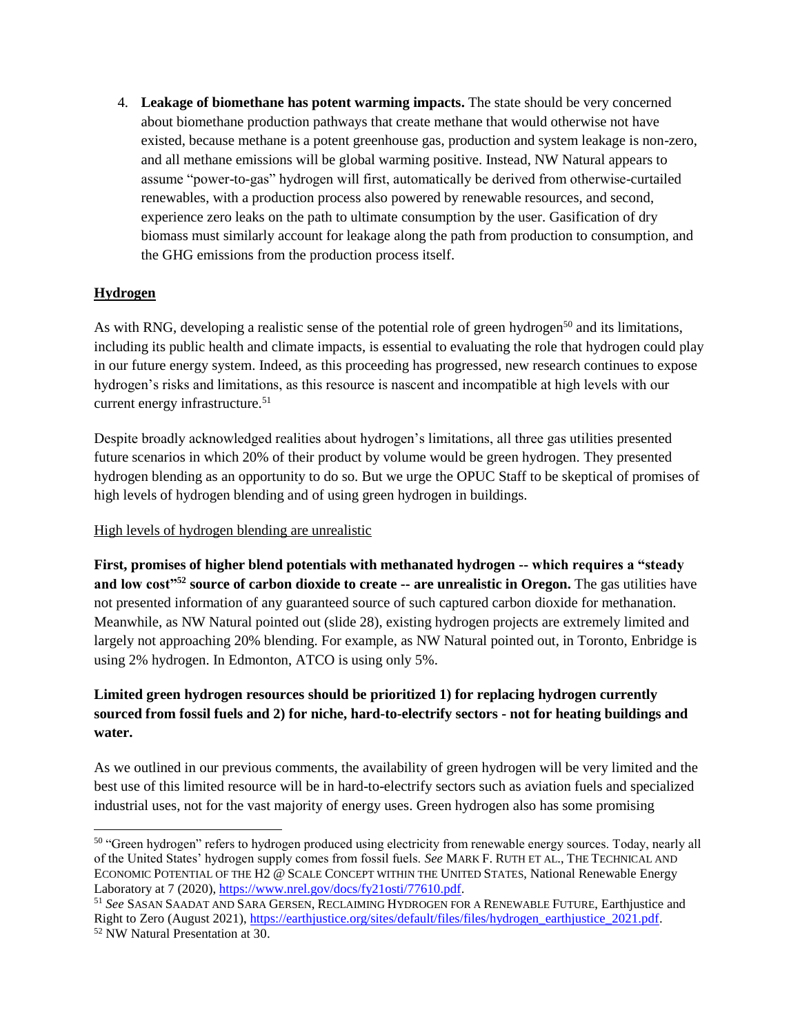4. **Leakage of biomethane has potent warming impacts.** The state should be very concerned about biomethane production pathways that create methane that would otherwise not have existed, because methane is a potent greenhouse gas, production and system leakage is non-zero, and all methane emissions will be global warming positive. Instead, NW Natural appears to assume "power-to-gas" hydrogen will first, automatically be derived from otherwise-curtailed renewables, with a production process also powered by renewable resources, and second, experience zero leaks on the path to ultimate consumption by the user. Gasification of dry biomass must similarly account for leakage along the path from production to consumption, and the GHG emissions from the production process itself.

## **Hydrogen**

As with RNG, developing a realistic sense of the potential role of green hydrogen<sup>50</sup> and its limitations, including its public health and climate impacts, is essential to evaluating the role that hydrogen could play in our future energy system. Indeed, as this proceeding has progressed, new research continues to expose hydrogen's risks and limitations, as this resource is nascent and incompatible at high levels with our current energy infrastructure.<sup>51</sup>

Despite broadly acknowledged realities about hydrogen's limitations, all three gas utilities presented future scenarios in which 20% of their product by volume would be green hydrogen. They presented hydrogen blending as an opportunity to do so. But we urge the OPUC Staff to be skeptical of promises of high levels of hydrogen blending and of using green hydrogen in buildings.

#### High levels of hydrogen blending are unrealistic

**First, promises of higher blend potentials with methanated hydrogen -- which requires a "steady and low cost"<sup>52</sup> source of carbon dioxide to create -- are unrealistic in Oregon.** The gas utilities have not presented information of any guaranteed source of such captured carbon dioxide for methanation. Meanwhile, as NW Natural pointed out (slide 28), existing hydrogen projects are extremely limited and largely not approaching 20% blending. For example, as NW Natural pointed out, in Toronto, Enbridge is using 2% hydrogen. In Edmonton, ATCO is using only 5%.

# **Limited green hydrogen resources should be prioritized 1) for replacing hydrogen currently sourced from fossil fuels and 2) for niche, hard-to-electrify sectors - not for heating buildings and water.**

As we outlined in our previous comments, the availability of green hydrogen will be very limited and the best use of this limited resource will be in hard-to-electrify sectors such as aviation fuels and specialized industrial uses, not for the vast majority of energy uses. Green hydrogen also has some promising

<sup>51</sup> *See* SASAN SAADAT AND SARA GERSEN, RECLAIMING HYDROGEN FOR A RENEWABLE FUTURE, Earthjustice and Right to Zero (August 2021), [https://earthjustice.org/sites/default/files/files/hydrogen\\_earthjustice\\_2021.pdf.](https://earthjustice.org/sites/default/files/files/hydrogen_earthjustice_2021.pdf) <sup>52</sup> NW Natural Presentation at 30.

 $\overline{a}$ <sup>50</sup> "Green hydrogen" refers to hydrogen produced using electricity from renewable energy sources. Today, nearly all of the United States' hydrogen supply comes from fossil fuels. *See* MARK F. RUTH ET AL., THE TECHNICAL AND ECONOMIC POTENTIAL OF THE H2 @ SCALE CONCEPT WITHIN THE UNITED STATES, National Renewable Energy Laboratory at 7 (2020), [https://www.nrel.gov/docs/fy21osti/77610.pdf.](https://www.nrel.gov/docs/fy21osti/77610.pdf)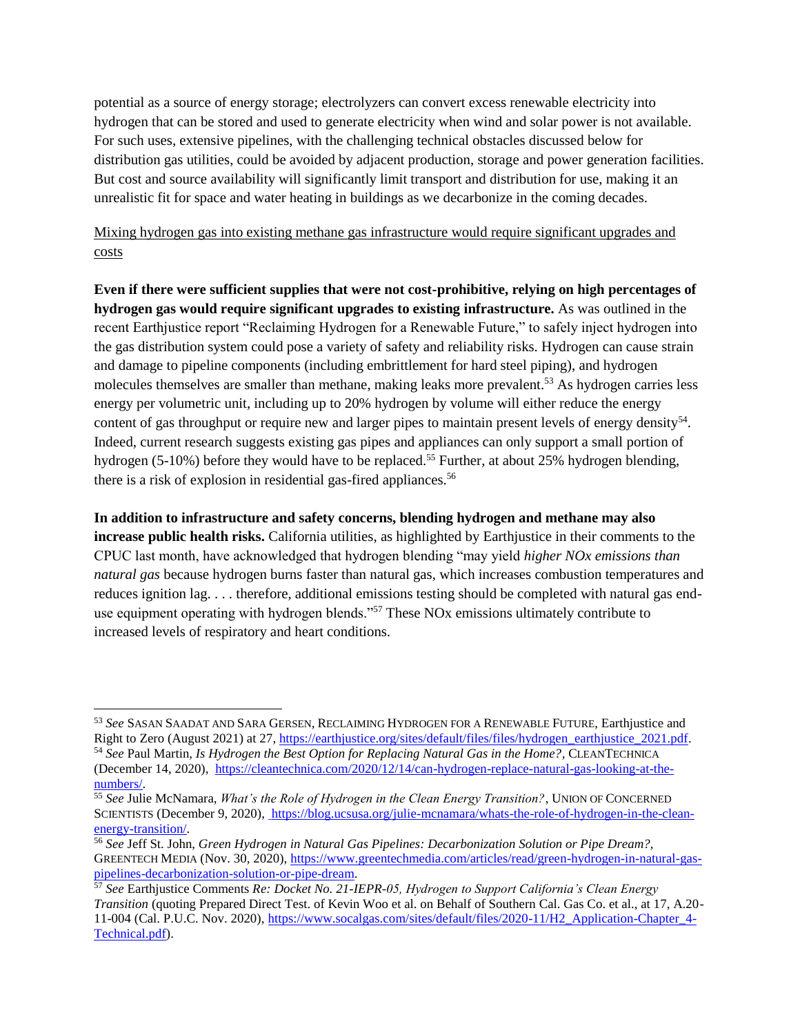potential as a source of energy storage; electrolyzers can convert excess renewable electricity into hydrogen that can be stored and used to generate electricity when wind and solar power is not available. For such uses, extensive pipelines, with the challenging technical obstacles discussed below for distribution gas utilities, could be avoided by adjacent production, storage and power generation facilities. But cost and source availability will significantly limit transport and distribution for use, making it an unrealistic fit for space and water heating in buildings as we decarbonize in the coming decades.

Mixing hydrogen gas into existing methane gas infrastructure would require significant upgrades and costs

**Even if there were sufficient supplies that were not cost-prohibitive, relying on high percentages of hydrogen gas would require significant upgrades to existing infrastructure.** As was outlined in the recent Earthjustice report "Reclaiming Hydrogen for a Renewable Future," to safely inject hydrogen into the gas distribution system could pose a variety of safety and reliability risks. Hydrogen can cause strain and damage to pipeline components (including embrittlement for hard steel piping), and hydrogen molecules themselves are smaller than methane, making leaks more prevalent.<sup>53</sup> As hydrogen carries less energy per volumetric unit, including up to 20% hydrogen by volume will either reduce the energy content of gas throughput or require new and larger pipes to maintain present levels of energy density<sup>54</sup>. Indeed, current research suggests existing gas pipes and appliances can only support a small portion of hydrogen (5-10%) before they would have to be replaced.<sup>55</sup> Further, at about 25% hydrogen blending, there is a risk of explosion in residential gas-fired appliances.<sup>56</sup>

**In addition to infrastructure and safety concerns, blending hydrogen and methane may also increase public health risks.** California utilities, as highlighted by Earthjustice in their comments to the CPUC last month, have acknowledged that hydrogen blending "may yield *higher NOx emissions than natural gas* because hydrogen burns faster than natural gas, which increases combustion temperatures and reduces ignition lag. . . . therefore, additional emissions testing should be completed with natural gas enduse equipment operating with hydrogen blends."<sup>57</sup> These NOx emissions ultimately contribute to increased levels of respiratory and heart conditions.

<sup>53</sup> *See* SASAN SAADAT AND SARA GERSEN, RECLAIMING HYDROGEN FOR A RENEWABLE FUTURE, Earthjustice and Right to Zero (August 2021) at 27[, https://earthjustice.org/sites/default/files/files/hydrogen\\_earthjustice\\_2021.pdf.](https://earthjustice.org/sites/default/files/files/hydrogen_earthjustice_2021.pdf) <sup>54</sup> *See* Paul Martin*, Is Hydrogen the Best Option for Replacing Natural Gas in the Home?,* CLEANTECHNICA (December 14, 2020), [https://cleantechnica.com/2020/12/14/can-hydrogen-replace-natural-gas-looking-at-the](https://cleantechnica.com/2020/12/14/can-hydrogen-replace-natural-gas-looking-at-the-numbers/)[numbers/.](https://cleantechnica.com/2020/12/14/can-hydrogen-replace-natural-gas-looking-at-the-numbers/)

<sup>55</sup> *See* Julie McNamara, *What's the Role of Hydrogen in the Clean Energy Transition?*, UNION OF CONCERNED SCIENTISTS (December 9, 2020)[,](https://blog.ucsusa.org/julie-mcnamara/whats-the-role-of-hydrogen-in-the-clean-energy-transition/) [https://blog.ucsusa.org/julie-mcnamara/whats-the-role-of-hydrogen-in-the-clean](https://blog.ucsusa.org/julie-mcnamara/whats-the-role-of-hydrogen-in-the-clean-energy-transition/)[energy-transition/.](https://blog.ucsusa.org/julie-mcnamara/whats-the-role-of-hydrogen-in-the-clean-energy-transition/)

<sup>56</sup> *See* Jeff St. John, *Green Hydrogen in Natural Gas Pipelines: Decarbonization Solution or Pipe Dream?,* GREENTECH MEDIA (Nov. 30, 2020), [https://www.greentechmedia.com/articles/read/green-hydrogen-in-natural-gas](https://www.greentechmedia.com/articles/read/green-hydrogen-in-natural-gas-pipelines-decarbonization-solution-or-pipe-dream)[pipelines-decarbonization-solution-or-pipe-dream.](https://www.greentechmedia.com/articles/read/green-hydrogen-in-natural-gas-pipelines-decarbonization-solution-or-pipe-dream) 

<sup>57</sup> *See* Earthjustice Comments *Re: Docket No. 21-IEPR-05, Hydrogen to Support California's Clean Energy Transition* (quoting Prepared Direct Test. of Kevin Woo et al. on Behalf of Southern Cal. Gas Co. et al., at 17, A.20- 11-004 (Cal. P.U.C. Nov. 2020), [https://www.socalgas.com/sites/default/files/2020-11/H2\\_Application-Chapter\\_4-](https://www.socalgas.com/sites/default/files/2020-11/H2_Application-Chapter_4-Technical.pdf) [Technical.pdf\)](https://www.socalgas.com/sites/default/files/2020-11/H2_Application-Chapter_4-Technical.pdf).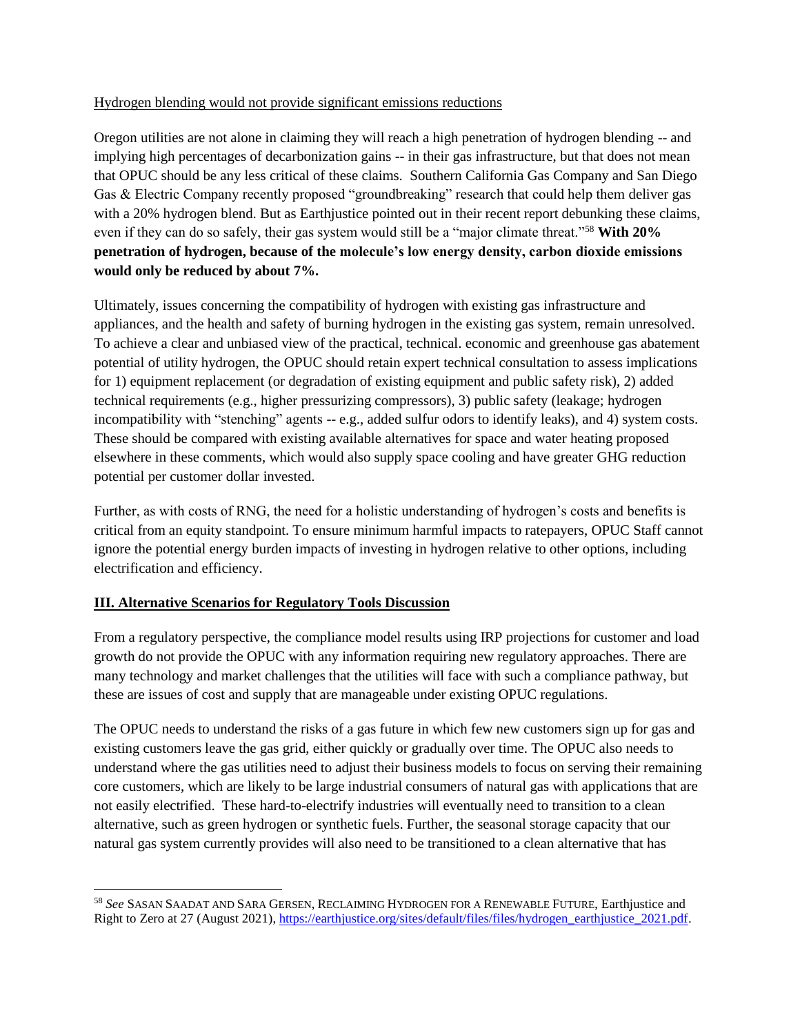#### Hydrogen blending would not provide significant emissions reductions

Oregon utilities are not alone in claiming they will reach a high penetration of hydrogen blending -- and implying high percentages of decarbonization gains -- in their gas infrastructure, but that does not mean that OPUC should be any less critical of these claims. Southern California Gas Company and San Diego Gas & Electric Company recently proposed "groundbreaking" research that could help them deliver gas with a 20% hydrogen blend. But as Earthjustice pointed out in their recent report debunking these claims, even if they can do so safely, their gas system would still be a "major climate threat."<sup>58</sup> **With 20% penetration of hydrogen, because of the molecule's low energy density, carbon dioxide emissions would only be reduced by about 7%.**

Ultimately, issues concerning the compatibility of hydrogen with existing gas infrastructure and appliances, and the health and safety of burning hydrogen in the existing gas system, remain unresolved. To achieve a clear and unbiased view of the practical, technical. economic and greenhouse gas abatement potential of utility hydrogen, the OPUC should retain expert technical consultation to assess implications for 1) equipment replacement (or degradation of existing equipment and public safety risk), 2) added technical requirements (e.g., higher pressurizing compressors), 3) public safety (leakage; hydrogen incompatibility with "stenching" agents -- e.g., added sulfur odors to identify leaks), and 4) system costs. These should be compared with existing available alternatives for space and water heating proposed elsewhere in these comments, which would also supply space cooling and have greater GHG reduction potential per customer dollar invested.

Further, as with costs of RNG, the need for a holistic understanding of hydrogen's costs and benefits is critical from an equity standpoint. To ensure minimum harmful impacts to ratepayers, OPUC Staff cannot ignore the potential energy burden impacts of investing in hydrogen relative to other options, including electrification and efficiency.

## **III. Alternative Scenarios for Regulatory Tools Discussion**

From a regulatory perspective, the compliance model results using IRP projections for customer and load growth do not provide the OPUC with any information requiring new regulatory approaches. There are many technology and market challenges that the utilities will face with such a compliance pathway, but these are issues of cost and supply that are manageable under existing OPUC regulations.

The OPUC needs to understand the risks of a gas future in which few new customers sign up for gas and existing customers leave the gas grid, either quickly or gradually over time. The OPUC also needs to understand where the gas utilities need to adjust their business models to focus on serving their remaining core customers, which are likely to be large industrial consumers of natural gas with applications that are not easily electrified. These hard-to-electrify industries will eventually need to transition to a clean alternative, such as green hydrogen or synthetic fuels. Further, the seasonal storage capacity that our natural gas system currently provides will also need to be transitioned to a clean alternative that has

<sup>58</sup> *See* SASAN SAADAT AND SARA GERSEN, RECLAIMING HYDROGEN FOR A RENEWABLE FUTURE, Earthjustice and Right to Zero at 27 (August 2021)[, https://earthjustice.org/sites/default/files/files/hydrogen\\_earthjustice\\_2021.pdf.](https://earthjustice.org/sites/default/files/files/hydrogen_earthjustice_2021.pdf)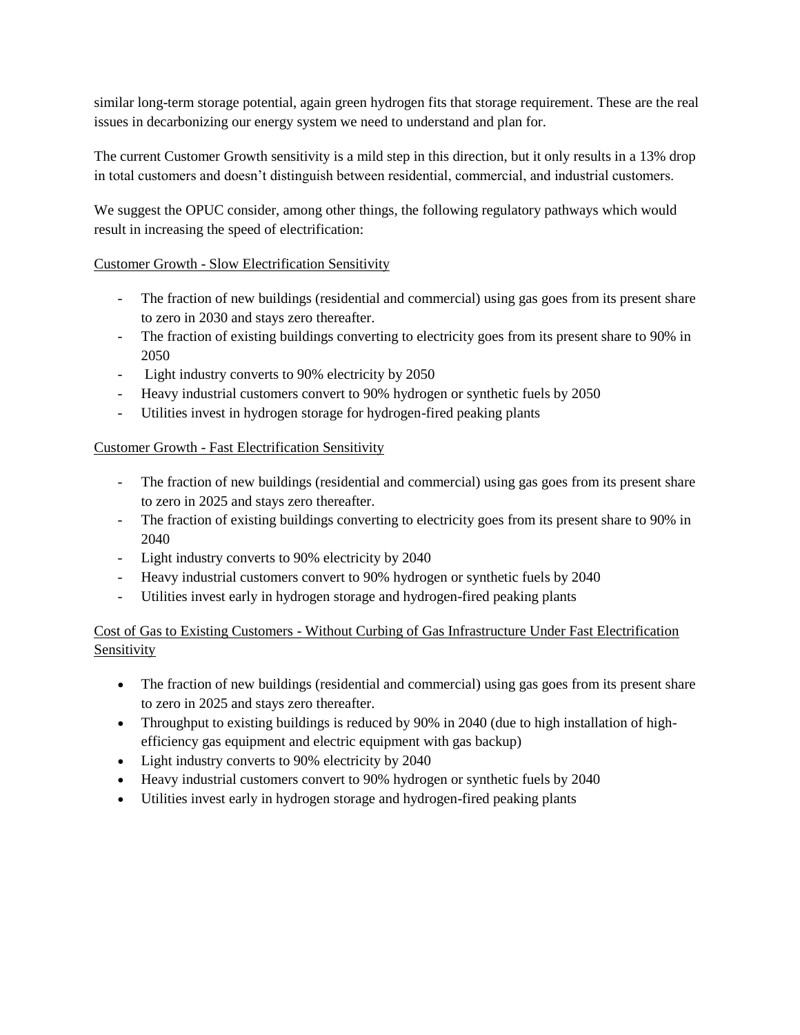similar long-term storage potential, again green hydrogen fits that storage requirement. These are the real issues in decarbonizing our energy system we need to understand and plan for.

The current Customer Growth sensitivity is a mild step in this direction, but it only results in a 13% drop in total customers and doesn't distinguish between residential, commercial, and industrial customers.

We suggest the OPUC consider, among other things, the following regulatory pathways which would result in increasing the speed of electrification:

## Customer Growth - Slow Electrification Sensitivity

- The fraction of new buildings (residential and commercial) using gas goes from its present share to zero in 2030 and stays zero thereafter.
- The fraction of existing buildings converting to electricity goes from its present share to 90% in 2050
- Light industry converts to 90% electricity by 2050
- Heavy industrial customers convert to 90% hydrogen or synthetic fuels by 2050
- Utilities invest in hydrogen storage for hydrogen-fired peaking plants

## Customer Growth - Fast Electrification Sensitivity

- The fraction of new buildings (residential and commercial) using gas goes from its present share to zero in 2025 and stays zero thereafter.
- The fraction of existing buildings converting to electricity goes from its present share to 90% in 2040
- Light industry converts to 90% electricity by 2040
- Heavy industrial customers convert to 90% hydrogen or synthetic fuels by 2040
- Utilities invest early in hydrogen storage and hydrogen-fired peaking plants

Cost of Gas to Existing Customers - Without Curbing of Gas Infrastructure Under Fast Electrification Sensitivity

- The fraction of new buildings (residential and commercial) using gas goes from its present share to zero in 2025 and stays zero thereafter.
- Throughput to existing buildings is reduced by 90% in 2040 (due to high installation of highefficiency gas equipment and electric equipment with gas backup)
- Light industry converts to 90% electricity by 2040
- Heavy industrial customers convert to 90% hydrogen or synthetic fuels by 2040
- Utilities invest early in hydrogen storage and hydrogen-fired peaking plants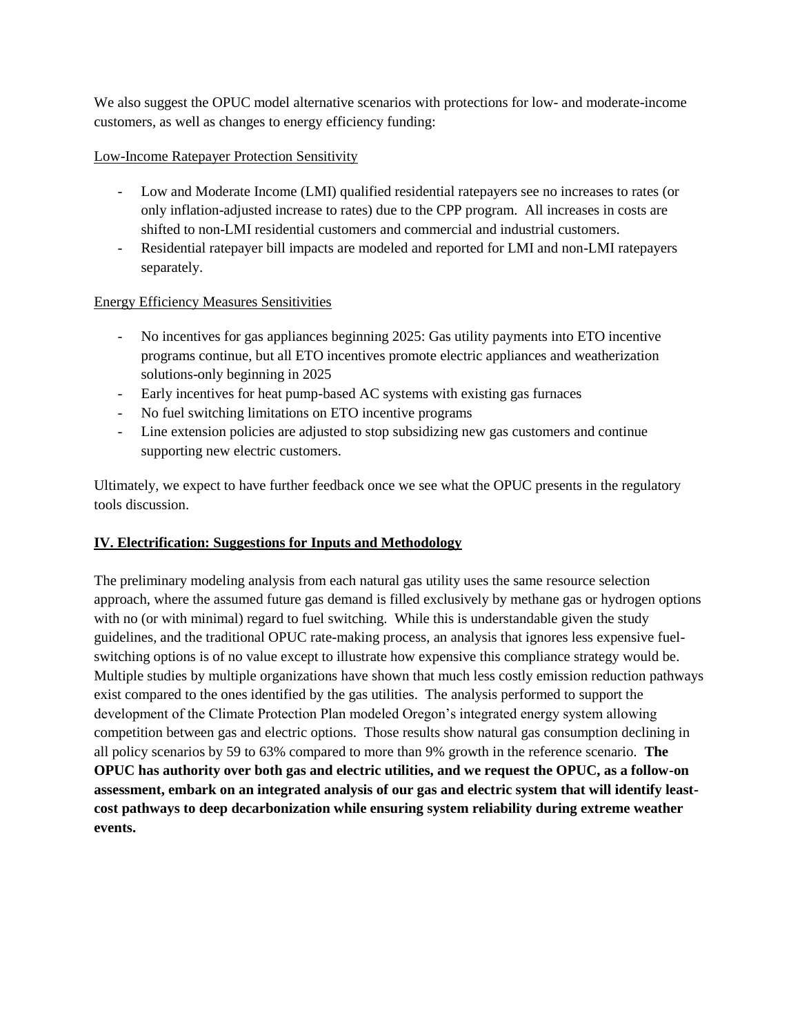We also suggest the OPUC model alternative scenarios with protections for low- and moderate-income customers, as well as changes to energy efficiency funding:

#### Low-Income Ratepayer Protection Sensitivity

- Low and Moderate Income (LMI) qualified residential ratepayers see no increases to rates (or only inflation-adjusted increase to rates) due to the CPP program. All increases in costs are shifted to non-LMI residential customers and commercial and industrial customers.
- Residential ratepayer bill impacts are modeled and reported for LMI and non-LMI ratepayers separately.

#### Energy Efficiency Measures Sensitivities

- No incentives for gas appliances beginning 2025: Gas utility payments into ETO incentive programs continue, but all ETO incentives promote electric appliances and weatherization solutions-only beginning in 2025
- Early incentives for heat pump-based AC systems with existing gas furnaces
- No fuel switching limitations on ETO incentive programs
- Line extension policies are adjusted to stop subsidizing new gas customers and continue supporting new electric customers.

Ultimately, we expect to have further feedback once we see what the OPUC presents in the regulatory tools discussion.

## **IV. Electrification: Suggestions for Inputs and Methodology**

The preliminary modeling analysis from each natural gas utility uses the same resource selection approach, where the assumed future gas demand is filled exclusively by methane gas or hydrogen options with no (or with minimal) regard to fuel switching. While this is understandable given the study guidelines, and the traditional OPUC rate-making process, an analysis that ignores less expensive fuelswitching options is of no value except to illustrate how expensive this compliance strategy would be. Multiple studies by multiple organizations have shown that much less costly emission reduction pathways exist compared to the ones identified by the gas utilities. The analysis performed to support the development of the Climate Protection Plan modeled Oregon's integrated energy system allowing competition between gas and electric options. Those results show natural gas consumption declining in all policy scenarios by 59 to 63% compared to more than 9% growth in the reference scenario. **The OPUC has authority over both gas and electric utilities, and we request the OPUC, as a follow-on assessment, embark on an integrated analysis of our gas and electric system that will identify leastcost pathways to deep decarbonization while ensuring system reliability during extreme weather events.**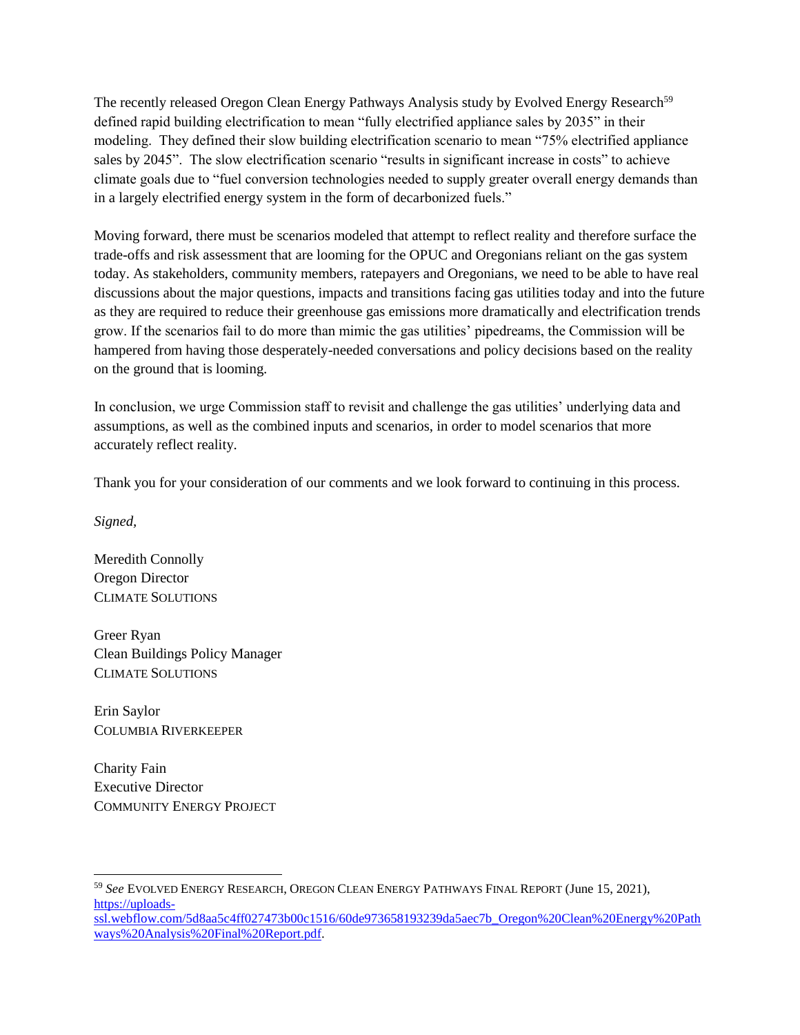The recently released Oregon Clean Energy Pathways Analysis study by Evolved Energy Research<sup>59</sup> defined rapid building electrification to mean "fully electrified appliance sales by 2035" in their modeling. They defined their slow building electrification scenario to mean "75% electrified appliance sales by 2045". The slow electrification scenario "results in significant increase in costs" to achieve climate goals due to "fuel conversion technologies needed to supply greater overall energy demands than in a largely electrified energy system in the form of decarbonized fuels."

Moving forward, there must be scenarios modeled that attempt to reflect reality and therefore surface the trade-offs and risk assessment that are looming for the OPUC and Oregonians reliant on the gas system today. As stakeholders, community members, ratepayers and Oregonians, we need to be able to have real discussions about the major questions, impacts and transitions facing gas utilities today and into the future as they are required to reduce their greenhouse gas emissions more dramatically and electrification trends grow. If the scenarios fail to do more than mimic the gas utilities' pipedreams, the Commission will be hampered from having those desperately-needed conversations and policy decisions based on the reality on the ground that is looming.

In conclusion, we urge Commission staff to revisit and challenge the gas utilities' underlying data and assumptions, as well as the combined inputs and scenarios, in order to model scenarios that more accurately reflect reality.

Thank you for your consideration of our comments and we look forward to continuing in this process.

*Signed,*

Meredith Connolly Oregon Director CLIMATE SOLUTIONS

Greer Ryan Clean Buildings Policy Manager CLIMATE SOLUTIONS

Erin Saylor COLUMBIA RIVERKEEPER

Charity Fain Executive Director COMMUNITY ENERGY PROJECT

<sup>59</sup> *See* EVOLVED ENERGY RESEARCH, OREGON CLEAN ENERGY PATHWAYS FINAL REPORT (June 15, 2021), [https://uploads](https://uploads-ssl.webflow.com/5d8aa5c4ff027473b00c1516/60de973658193239da5aec7b_Oregon%20Clean%20Energy%20Pathways%20Analysis%20Final%20Report.pdf)[ssl.webflow.com/5d8aa5c4ff027473b00c1516/60de973658193239da5aec7b\\_Oregon%20Clean%20Energy%20Path](https://uploads-ssl.webflow.com/5d8aa5c4ff027473b00c1516/60de973658193239da5aec7b_Oregon%20Clean%20Energy%20Pathways%20Analysis%20Final%20Report.pdf) [ways%20Analysis%20Final%20Report.pdf.](https://uploads-ssl.webflow.com/5d8aa5c4ff027473b00c1516/60de973658193239da5aec7b_Oregon%20Clean%20Energy%20Pathways%20Analysis%20Final%20Report.pdf)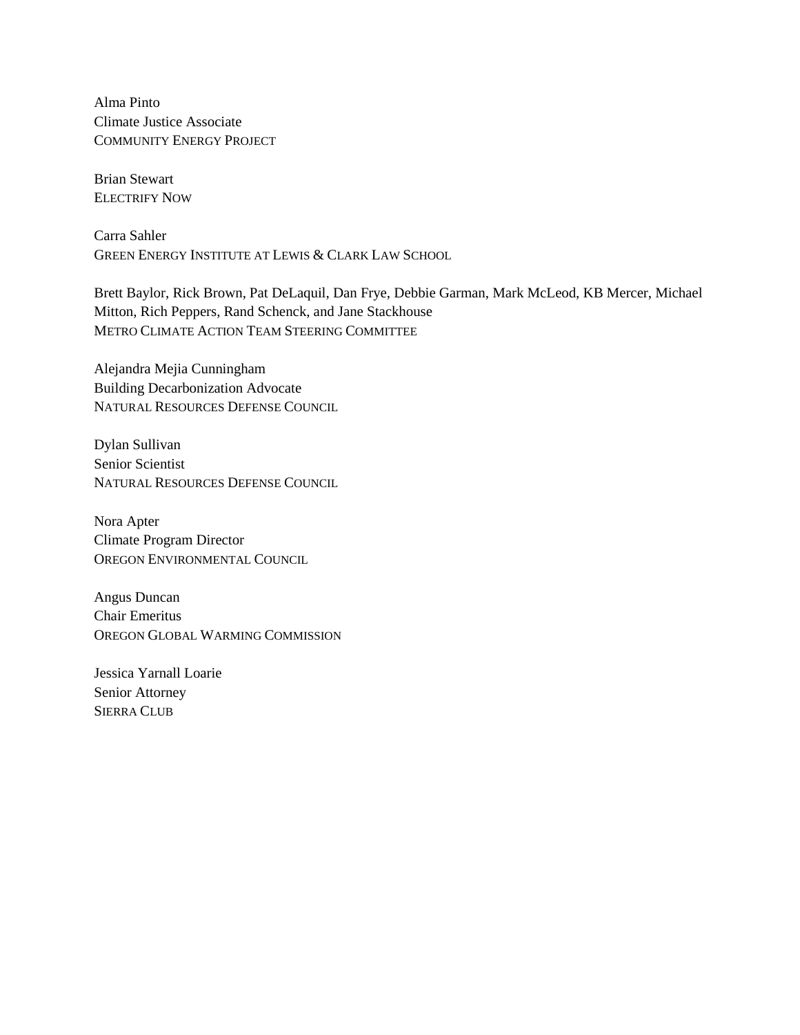Alma Pinto Climate Justice Associate COMMUNITY ENERGY PROJECT

Brian Stewart ELECTRIFY NOW

Carra Sahler GREEN ENERGY INSTITUTE AT LEWIS & CLARK LAW SCHOOL

Brett Baylor, Rick Brown, Pat DeLaquil, Dan Frye, Debbie Garman, Mark McLeod, KB Mercer, Michael Mitton, Rich Peppers, Rand Schenck, and Jane Stackhouse METRO CLIMATE ACTION TEAM STEERING COMMITTEE

Alejandra Mejia Cunningham Building Decarbonization Advocate NATURAL RESOURCES DEFENSE COUNCIL

Dylan Sullivan Senior Scientist NATURAL RESOURCES DEFENSE COUNCIL

Nora Apter Climate Program Director OREGON ENVIRONMENTAL COUNCIL

Angus Duncan Chair Emeritus OREGON GLOBAL WARMING COMMISSION

Jessica Yarnall Loarie Senior Attorney SIERRA CLUB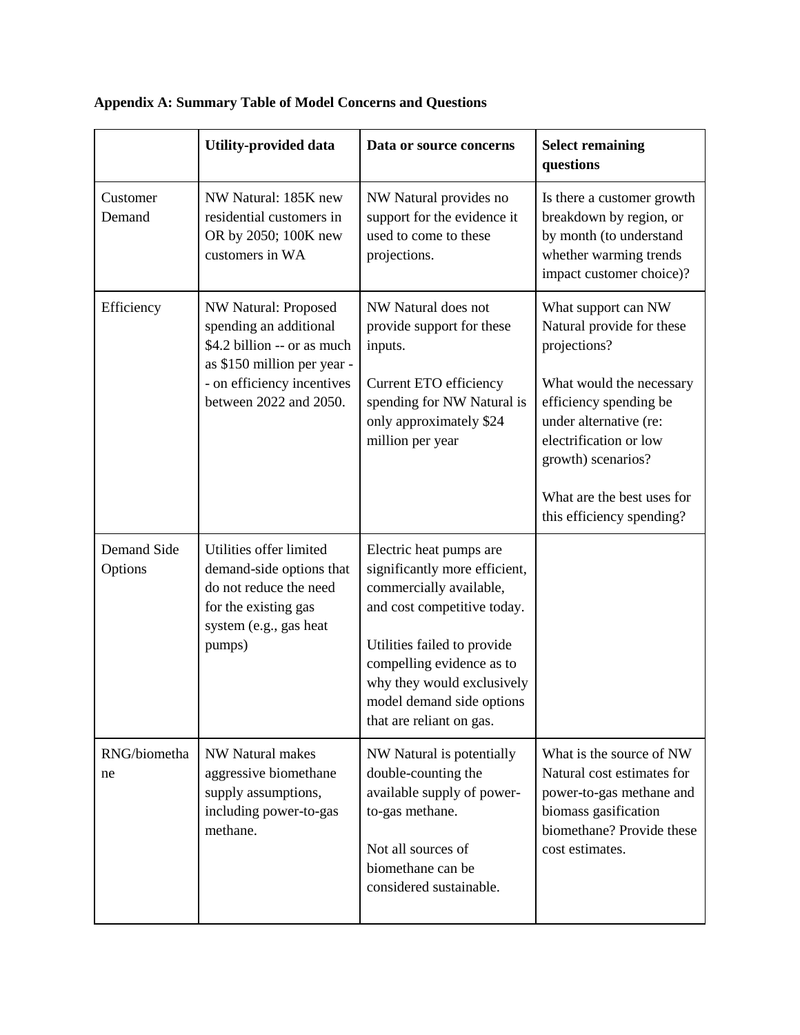|                        | <b>Utility-provided data</b>                                                                                                                                         | Data or source concerns                                                                                                                                                                                                                                               | <b>Select remaining</b><br>questions                                                                                                                       |
|------------------------|----------------------------------------------------------------------------------------------------------------------------------------------------------------------|-----------------------------------------------------------------------------------------------------------------------------------------------------------------------------------------------------------------------------------------------------------------------|------------------------------------------------------------------------------------------------------------------------------------------------------------|
| Customer<br>Demand     | NW Natural: 185K new<br>residential customers in<br>OR by 2050; 100K new<br>customers in WA                                                                          | NW Natural provides no<br>support for the evidence it<br>used to come to these<br>projections.                                                                                                                                                                        | Is there a customer growth<br>breakdown by region, or<br>by month (to understand<br>whether warming trends<br>impact customer choice)?                     |
| Efficiency             | NW Natural: Proposed<br>spending an additional<br>\$4.2 billion -- or as much<br>as \$150 million per year -<br>- on efficiency incentives<br>between 2022 and 2050. | NW Natural does not<br>provide support for these<br>inputs.                                                                                                                                                                                                           | What support can NW<br>Natural provide for these<br>projections?                                                                                           |
|                        |                                                                                                                                                                      | Current ETO efficiency<br>spending for NW Natural is<br>only approximately \$24<br>million per year                                                                                                                                                                   | What would the necessary<br>efficiency spending be<br>under alternative (re:<br>electrification or low<br>growth) scenarios?                               |
|                        |                                                                                                                                                                      |                                                                                                                                                                                                                                                                       | What are the best uses for<br>this efficiency spending?                                                                                                    |
| Demand Side<br>Options | Utilities offer limited<br>demand-side options that<br>do not reduce the need<br>for the existing gas<br>system (e.g., gas heat<br>pumps)                            | Electric heat pumps are<br>significantly more efficient,<br>commercially available,<br>and cost competitive today.<br>Utilities failed to provide<br>compelling evidence as to<br>why they would exclusively<br>model demand side options<br>that are reliant on gas. |                                                                                                                                                            |
| RNG/biometha<br>ne     | <b>NW Natural makes</b><br>aggressive biomethane<br>supply assumptions,<br>including power-to-gas<br>methane.                                                        | NW Natural is potentially<br>double-counting the<br>available supply of power-<br>to-gas methane.<br>Not all sources of<br>biomethane can be<br>considered sustainable.                                                                                               | What is the source of NW<br>Natural cost estimates for<br>power-to-gas methane and<br>biomass gasification<br>biomethane? Provide these<br>cost estimates. |

# **Appendix A: Summary Table of Model Concerns and Questions**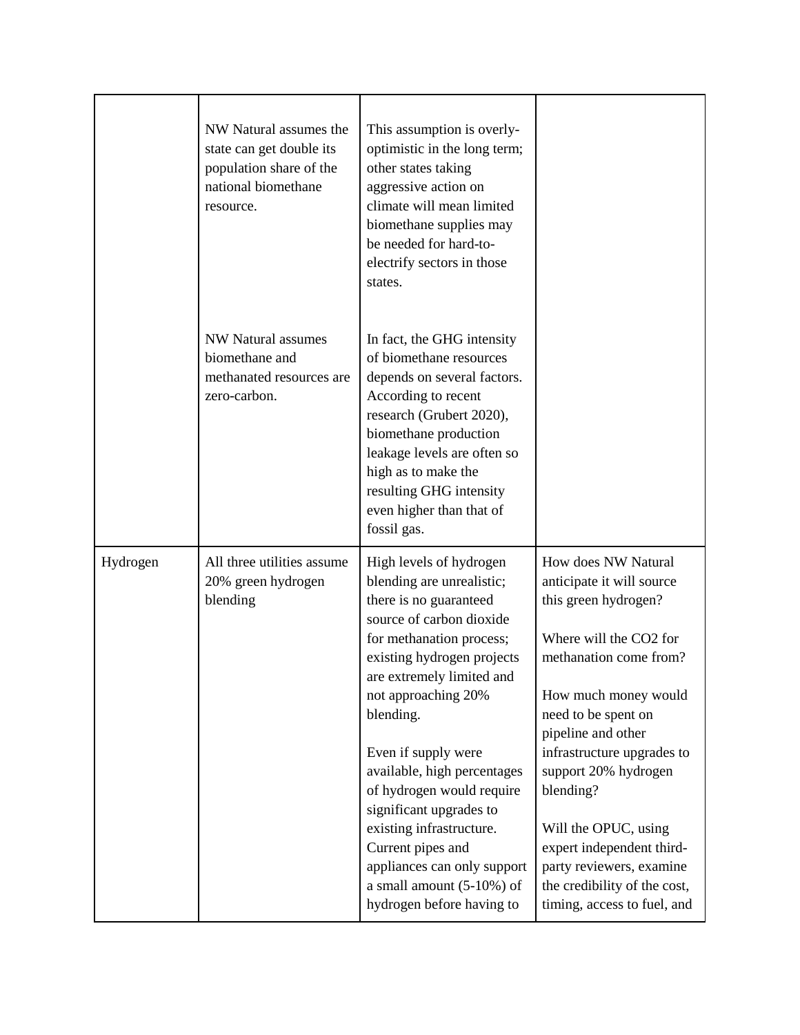|          | NW Natural assumes the<br>state can get double its<br>population share of the<br>national biomethane<br>resource. | This assumption is overly-<br>optimistic in the long term;<br>other states taking<br>aggressive action on<br>climate will mean limited<br>biomethane supplies may<br>be needed for hard-to-<br>electrify sectors in those<br>states.                                                                                                                                                                                                                                                            |                                                                                                                                                                                                                                                                                                                                                                                                                      |
|----------|-------------------------------------------------------------------------------------------------------------------|-------------------------------------------------------------------------------------------------------------------------------------------------------------------------------------------------------------------------------------------------------------------------------------------------------------------------------------------------------------------------------------------------------------------------------------------------------------------------------------------------|----------------------------------------------------------------------------------------------------------------------------------------------------------------------------------------------------------------------------------------------------------------------------------------------------------------------------------------------------------------------------------------------------------------------|
|          | <b>NW Natural assumes</b><br>biomethane and<br>methanated resources are<br>zero-carbon.                           | In fact, the GHG intensity<br>of biomethane resources<br>depends on several factors.<br>According to recent<br>research (Grubert 2020),<br>biomethane production<br>leakage levels are often so<br>high as to make the<br>resulting GHG intensity<br>even higher than that of<br>fossil gas.                                                                                                                                                                                                    |                                                                                                                                                                                                                                                                                                                                                                                                                      |
| Hydrogen | All three utilities assume<br>20% green hydrogen<br>blending                                                      | High levels of hydrogen<br>blending are unrealistic;<br>there is no guaranteed<br>source of carbon dioxide<br>for methanation process;<br>existing hydrogen projects<br>are extremely limited and<br>not approaching 20%<br>blending.<br>Even if supply were<br>available, high percentages<br>of hydrogen would require<br>significant upgrades to<br>existing infrastructure.<br>Current pipes and<br>appliances can only support<br>a small amount $(5-10%)$ of<br>hydrogen before having to | How does NW Natural<br>anticipate it will source<br>this green hydrogen?<br>Where will the CO2 for<br>methanation come from?<br>How much money would<br>need to be spent on<br>pipeline and other<br>infrastructure upgrades to<br>support 20% hydrogen<br>blending?<br>Will the OPUC, using<br>expert independent third-<br>party reviewers, examine<br>the credibility of the cost,<br>timing, access to fuel, and |